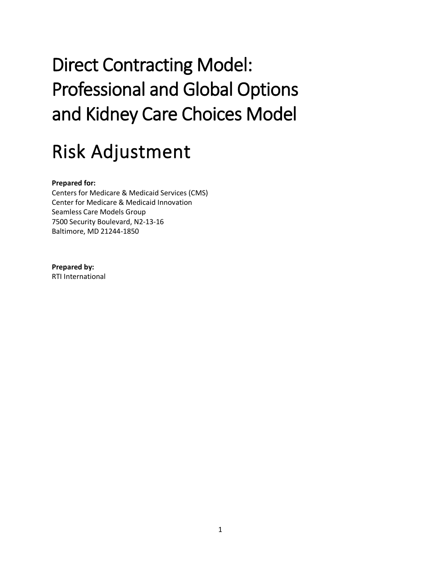# Direct Contracting Model: Professional and Global Options and Kidney Care Choices Model

# Risk Adjustment

#### **Prepared for:**

Centers for Medicare & Medicaid Services (CMS) Center for Medicare & Medicaid Innovation Seamless Care Models Group 7500 Security Boulevard, N2-13-16 Baltimore, MD 21244-1850

#### **Prepared by:**

RTI International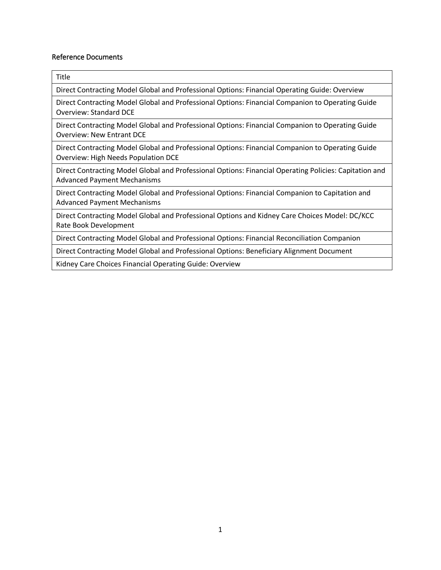#### Reference Documents

| Title                                                                                                                                                                                       |
|---------------------------------------------------------------------------------------------------------------------------------------------------------------------------------------------|
| Direct Contracting Model Global and Professional Options: Financial Operating Guide: Overview                                                                                               |
| Direct Contracting Model Global and Professional Options: Financial Companion to Operating Guide<br><b>Overview: Standard DCE</b>                                                           |
| Direct Contracting Model Global and Professional Options: Financial Companion to Operating Guide<br><b>Overview: New Entrant DCE</b>                                                        |
| Direct Contracting Model Global and Professional Options: Financial Companion to Operating Guide<br>Overview: High Needs Population DCE                                                     |
| Direct Contracting Model Global and Professional Options: Financial Operating Policies: Capitation and<br><b>Advanced Payment Mechanisms</b>                                                |
| Direct Contracting Model Global and Professional Options: Financial Companion to Capitation and<br><b>Advanced Payment Mechanisms</b>                                                       |
| Direct Contracting Model Global and Professional Options and Kidney Care Choices Model: DC/KCC<br>Rate Book Development                                                                     |
| Direct Contracting Model Global and Professional Options: Financial Reconciliation Companion                                                                                                |
| $\mathcal{L} = \{ \mathcal{L} \mid \mathcal{L} \in \mathcal{L} \mid \mathcal{L} \in \mathcal{L} \}$ , we can assume that $\mathcal{L} = \{ \mathcal{L} \mid \mathcal{L} \in \mathcal{L} \}$ |

Direct Contracting Model Global and Professional Options: Beneficiary Alignment Document

Kidney Care Choices Financial Operating Guide: Overview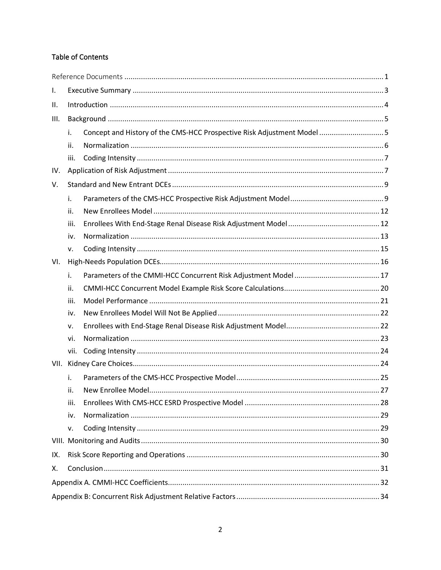#### Table of Contents

| Ι.   |      |                                                                         |  |  |  |
|------|------|-------------------------------------------------------------------------|--|--|--|
| ΙΙ.  |      |                                                                         |  |  |  |
| III. |      |                                                                         |  |  |  |
|      | i.   | Concept and History of the CMS-HCC Prospective Risk Adjustment Model  5 |  |  |  |
|      | ii.  |                                                                         |  |  |  |
|      | iii. |                                                                         |  |  |  |
| IV.  |      |                                                                         |  |  |  |
| V.   |      |                                                                         |  |  |  |
|      | i.   |                                                                         |  |  |  |
|      | ii.  |                                                                         |  |  |  |
|      | iii. |                                                                         |  |  |  |
|      | iv.  |                                                                         |  |  |  |
|      | v.   |                                                                         |  |  |  |
| VI.  |      |                                                                         |  |  |  |
|      | i.   |                                                                         |  |  |  |
|      | ii.  |                                                                         |  |  |  |
|      | iii. |                                                                         |  |  |  |
|      | iv.  |                                                                         |  |  |  |
|      | v.   |                                                                         |  |  |  |
|      | vi.  |                                                                         |  |  |  |
|      | vii. |                                                                         |  |  |  |
| VII. |      |                                                                         |  |  |  |
|      | i.   |                                                                         |  |  |  |
|      | ii.  |                                                                         |  |  |  |
|      | iii. |                                                                         |  |  |  |
|      | iv.  |                                                                         |  |  |  |
|      | v.   |                                                                         |  |  |  |
|      |      |                                                                         |  |  |  |
| IX.  |      |                                                                         |  |  |  |
| Х.   |      |                                                                         |  |  |  |
|      |      |                                                                         |  |  |  |
|      |      |                                                                         |  |  |  |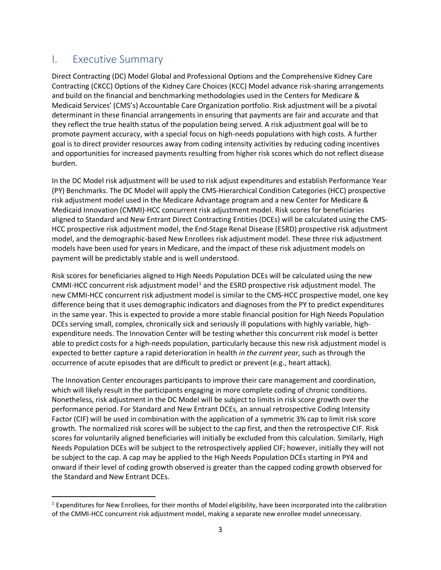## I. Executive Summary

Direct Contracting (DC) Model Global and Professional Options and the Comprehensive Kidney Care Contracting (CKCC) Options of the Kidney Care Choices (KCC) Model advance risk-sharing arrangements and build on the financial and benchmarking methodologies used in the Centers for Medicare & Medicaid Services' (CMS's) Accountable Care Organization portfolio. Risk adjustment will be a pivotal determinant in these financial arrangements in ensuring that payments are fair and accurate and that they reflect the true health status of the population being served. A risk adjustment goal will be to promote payment accuracy, with a special focus on high-needs populations with high costs. A further goal is to direct provider resources away from coding intensity activities by reducing coding incentives and opportunities for increased payments resulting from higher risk scores which do not reflect disease burden.

In the DC Model risk adjustment will be used to risk adjust expenditures and establish Performance Year (PY) Benchmarks. The DC Model will apply the CMS-Hierarchical Condition Categories (HCC) prospective risk adjustment model used in the Medicare Advantage program and a new Center for Medicare & Medicaid Innovation (CMMI)-HCC concurrent risk adjustment model. Risk scores for beneficiaries aligned to Standard and New Entrant Direct Contracting Entities (DCEs) will be calculated using the CMS-HCC prospective risk adjustment model, the End-Stage Renal Disease (ESRD) prospective risk adjustment model, and the demographic-based New Enrollees risk adjustment model. These three risk adjustment models have been used for years in Medicare, and the impact of these risk adjustment models on payment will be predictably stable and is well understood.

Risk scores for beneficiaries aligned to High Needs Population DCEs will be calculated using the new CMMI-HCC concurrent risk adjustment model<sup>1</sup> and the ESRD prospective risk adjustment model. The new CMMI-HCC concurrent risk adjustment model is similar to the CMS-HCC prospective model, one key difference being that it uses demographic indicators and diagnoses from the PY to predict expenditures in the same year. This is expected to provide a more stable financial position for High Needs Population DCEs serving small, complex, chronically sick and seriously ill populations with highly variable, highexpenditure needs. The Innovation Center will be testing whether this concurrent risk model is better able to predict costs for a high-needs population, particularly because this new risk adjustment model is expected to better capture a rapid deterioration in health *in the current year*, such as through the occurrence of acute episodes that are difficult to predict or prevent (e.g., heart attack).

The Innovation Center encourages participants to improve their care management and coordination, which will likely result in the participants engaging in more complete coding of chronic conditions. Nonetheless, risk adjustment in the DC Model will be subject to limits in risk score growth over the performance period. For Standard and New Entrant DCEs, an annual retrospective Coding Intensity Factor (CIF) will be used in combination with the application of a symmetric 3% cap to limit risk score growth. The normalized risk scores will be subject to the cap first, and then the retrospective CIF. Risk scores for voluntarily aligned beneficiaries will initially be excluded from this calculation. Similarly, High Needs Population DCEs will be subject to the retrospectively applied CIF; however, initially they will not be subject to the cap. A cap may be applied to the High Needs Population DCEs starting in PY4 and onward if their level of coding growth observed is greater than the capped coding growth observed for the Standard and New Entrant DCEs.

 $1$  Expenditures for New Enrollees, for their months of Model eligibility, have been incorporated into the calibration of the CMMI-HCC concurrent risk adjustment model, making a separate new enrollee model unnecessary.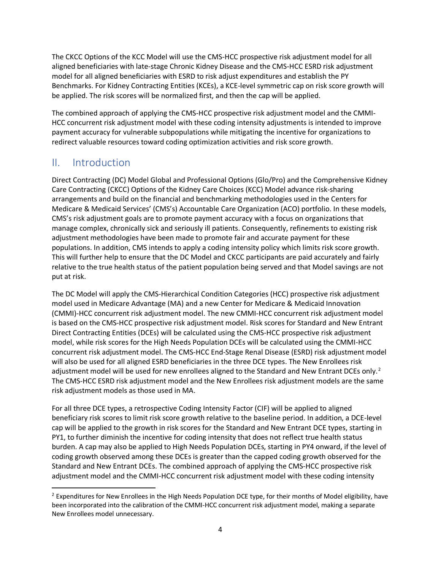The CKCC Options of the KCC Model will use the CMS-HCC prospective risk adjustment model for all aligned beneficiaries with late-stage Chronic Kidney Disease and the CMS-HCC ESRD risk adjustment model for all aligned beneficiaries with ESRD to risk adjust expenditures and establish the PY Benchmarks. For Kidney Contracting Entities (KCEs), a KCE-level symmetric cap on risk score growth will be applied. The risk scores will be normalized first, and then the cap will be applied.

The combined approach of applying the CMS-HCC prospective risk adjustment model and the CMMI-HCC concurrent risk adjustment model with these coding intensity adjustments is intended to improve payment accuracy for vulnerable subpopulations while mitigating the incentive for organizations to redirect valuable resources toward coding optimization activities and risk score growth.

## II. Introduction

Direct Contracting (DC) Model Global and Professional Options (Glo/Pro) and the Comprehensive Kidney Care Contracting (CKCC) Options of the Kidney Care Choices (KCC) Model advance risk-sharing arrangements and build on the financial and benchmarking methodologies used in the Centers for Medicare & Medicaid Services' (CMS's) Accountable Care Organization (ACO) portfolio. In these models, CMS's risk adjustment goals are to promote payment accuracy with a focus on organizations that manage complex, chronically sick and seriously ill patients. Consequently, refinements to existing risk adjustment methodologies have been made to promote fair and accurate payment for these populations. In addition, CMS intends to apply a coding intensity policy which limits risk score growth. This will further help to ensure that the DC Model and CKCC participants are paid accurately and fairly relative to the true health status of the patient population being served and that Model savings are not put at risk.

The DC Model will apply the CMS-Hierarchical Condition Categories (HCC) prospective risk adjustment model used in Medicare Advantage (MA) and a new Center for Medicare & Medicaid Innovation (CMMI)-HCC concurrent risk adjustment model. The new CMMI-HCC concurrent risk adjustment model is based on the CMS-HCC prospective risk adjustment model. Risk scores for Standard and New Entrant Direct Contracting Entities (DCEs) will be calculated using the CMS-HCC prospective risk adjustment model, while risk scores for the High Needs Population DCEs will be calculated using the CMMI-HCC concurrent risk adjustment model. The CMS-HCC End-Stage Renal Disease (ESRD) risk adjustment model will also be used for all aligned ESRD beneficiaries in the three DCE types. The New Enrollees risk adjustment model will be used for new enrollees aligned to the Standard and New Entrant DCEs only.<sup>2</sup> The CMS-HCC ESRD risk adjustment model and the New Enrollees risk adjustment models are the same risk adjustment models as those used in MA.

For all three DCE types, a retrospective Coding Intensity Factor (CIF) will be applied to aligned beneficiary risk scores to limit risk score growth relative to the baseline period. In addition, a DCE-level cap will be applied to the growth in risk scores for the Standard and New Entrant DCE types, starting in PY1, to further diminish the incentive for coding intensity that does not reflect true health status burden. A cap may also be applied to High Needs Population DCEs, starting in PY4 onward, if the level of coding growth observed among these DCEs is greater than the capped coding growth observed for the Standard and New Entrant DCEs. The combined approach of applying the CMS-HCC prospective risk adjustment model and the CMMI-HCC concurrent risk adjustment model with these coding intensity

<sup>&</sup>lt;sup>2</sup> Expenditures for New Enrollees in the High Needs Population DCE type, for their months of Model eligibility, have been incorporated into the calibration of the CMMI-HCC concurrent risk adjustment model, making a separate New Enrollees model unnecessary.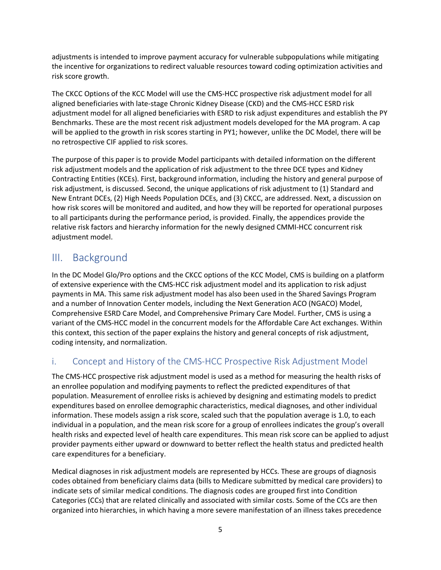adjustments is intended to improve payment accuracy for vulnerable subpopulations while mitigating the incentive for organizations to redirect valuable resources toward coding optimization activities and risk score growth.

The CKCC Options of the KCC Model will use the CMS-HCC prospective risk adjustment model for all aligned beneficiaries with late-stage Chronic Kidney Disease (CKD) and the CMS-HCC ESRD risk adjustment model for all aligned beneficiaries with ESRD to risk adjust expenditures and establish the PY Benchmarks. These are the most recent risk adjustment models developed for the MA program. A cap will be applied to the growth in risk scores starting in PY1; however, unlike the DC Model, there will be no retrospective CIF applied to risk scores.

The purpose of this paper is to provide Model participants with detailed information on the different risk adjustment models and the application of risk adjustment to the three DCE types and Kidney Contracting Entities (KCEs). First, background information, including the history and general purpose of risk adjustment, is discussed. Second, the unique applications of risk adjustment to (1) Standard and New Entrant DCEs, (2) High Needs Population DCEs, and (3) CKCC, are addressed. Next, a discussion on how risk scores will be monitored and audited, and how they will be reported for operational purposes to all participants during the performance period, is provided. Finally, the appendices provide the relative risk factors and hierarchy information for the newly designed CMMI-HCC concurrent risk adjustment model.

## III. Background

In the DC Model Glo/Pro options and the CKCC options of the KCC Model, CMS is building on a platform of extensive experience with the CMS-HCC risk adjustment model and its application to risk adjust payments in MA. This same risk adjustment model has also been used in the Shared Savings Program and a number of Innovation Center models, including the Next Generation ACO (NGACO) Model, Comprehensive ESRD Care Model, and Comprehensive Primary Care Model. Further, CMS is using a variant of the CMS-HCC model in the concurrent models for the Affordable Care Act exchanges. Within this context, this section of the paper explains the history and general concepts of risk adjustment, coding intensity, and normalization.

## i. Concept and History of the CMS-HCC Prospective Risk Adjustment Model

The CMS-HCC prospective risk adjustment model is used as a method for measuring the health risks of an enrollee population and modifying payments to reflect the predicted expenditures of that population. Measurement of enrollee risks is achieved by designing and estimating models to predict expenditures based on enrollee demographic characteristics, medical diagnoses, and other individual information. These models assign a risk score, scaled such that the population average is 1.0, to each individual in a population, and the mean risk score for a group of enrollees indicates the group's overall health risks and expected level of health care expenditures. This mean risk score can be applied to adjust provider payments either upward or downward to better reflect the health status and predicted health care expenditures for a beneficiary.

Medical diagnoses in risk adjustment models are represented by HCCs. These are groups of diagnosis codes obtained from beneficiary claims data (bills to Medicare submitted by medical care providers) to indicate sets of similar medical conditions. The diagnosis codes are grouped first into Condition Categories (CCs) that are related clinically and associated with similar costs. Some of the CCs are then organized into hierarchies, in which having a more severe manifestation of an illness takes precedence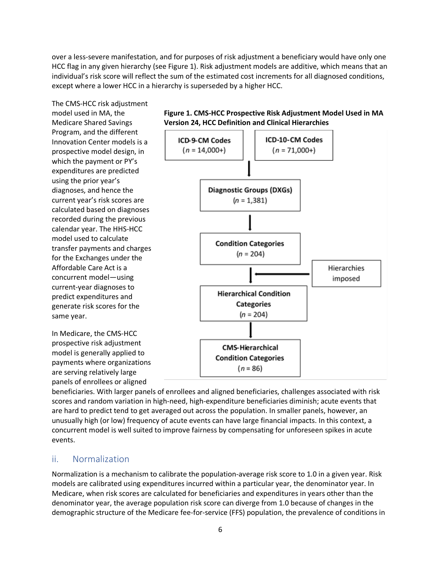over a less-severe manifestation, and for purposes of risk adjustment a beneficiary would have only one HCC flag in any given hierarchy (see Figure 1). Risk adjustment models are additive, which means that an individual's risk score will reflect the sum of the estimated cost increments for all diagnosed conditions, except where a lower HCC in a hierarchy is superseded by a higher HCC.

The CMS-HCC risk adjustment model used in MA, the Medicare Shared Savings Program, and the different Innovation Center models is a prospective model design, in which the payment or PY's expenditures are predicted using the prior year's diagnoses, and hence the current year's risk scores are calculated based on diagnoses recorded during the previous calendar year. The HHS-HCC model used to calculate transfer payments and charges for the Exchanges under the Affordable Care Act is a concurrent model—using current-year diagnoses to predict expenditures and generate risk scores for the same year.

In Medicare, the CMS-HCC prospective risk adjustment model is generally applied to payments where organizations are serving relatively large panels of enrollees or aligned





beneficiaries. With larger panels of enrollees and aligned beneficiaries, challenges associated with risk scores and random variation in high-need, high-expenditure beneficiaries diminish; acute events that are hard to predict tend to get averaged out across the population. In smaller panels, however, an unusually high (or low) frequency of acute events can have large financial impacts. In this context, a concurrent model is well suited to improve fairness by compensating for unforeseen spikes in acute events.

#### ii. Normalization

Normalization is a mechanism to calibrate the population-average risk score to 1.0 in a given year. Risk models are calibrated using expenditures incurred within a particular year, the denominator year. In Medicare, when risk scores are calculated for beneficiaries and expenditures in years other than the denominator year, the average population risk score can diverge from 1.0 because of changes in the demographic structure of the Medicare fee-for-service (FFS) population, the prevalence of conditions in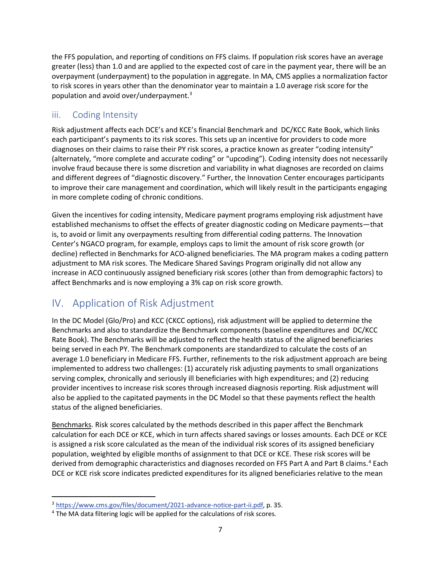the FFS population, and reporting of conditions on FFS claims. If population risk scores have an average greater (less) than 1.0 and are applied to the expected cost of care in the payment year, there will be an overpayment (underpayment) to the population in aggregate. In MA, CMS applies a normalization factor to risk scores in years other than the denominator year to maintain a 1.0 average risk score for the population and avoid over/underpayment. 3

## iii. Coding Intensity

Risk adjustment affects each DCE's and KCE's financial Benchmark and DC/KCC Rate Book, which links each participant's payments to its risk scores. This sets up an incentive for providers to code more diagnoses on their claims to raise their PY risk scores, a practice known as greater "coding intensity" (alternately, "more complete and accurate coding" or "upcoding"). Coding intensity does not necessarily involve fraud because there is some discretion and variability in what diagnoses are recorded on claims and different degrees of "diagnostic discovery." Further, the Innovation Center encourages participants to improve their care management and coordination, which will likely result in the participants engaging in more complete coding of chronic conditions.

Given the incentives for coding intensity, Medicare payment programs employing risk adjustment have established mechanisms to offset the effects of greater diagnostic coding on Medicare payments—that is, to avoid or limit any overpayments resulting from differential coding patterns. The Innovation Center's NGACO program, for example, employs caps to limit the amount of risk score growth (or decline) reflected in Benchmarks for ACO-aligned beneficiaries. The MA program makes a coding pattern adjustment to MA risk scores. The Medicare Shared Savings Program originally did not allow any increase in ACO continuously assigned beneficiary risk scores (other than from demographic factors) to affect Benchmarks and is now employing a 3% cap on risk score growth.

## IV. Application of Risk Adjustment

In the DC Model (Glo/Pro) and KCC (CKCC options), risk adjustment will be applied to determine the Benchmarks and also to standardize the Benchmark components (baseline expenditures and DC/KCC Rate Book). The Benchmarks will be adjusted to reflect the health status of the aligned beneficiaries being served in each PY. The Benchmark components are standardized to calculate the costs of an average 1.0 beneficiary in Medicare FFS. Further, refinements to the risk adjustment approach are being implemented to address two challenges: (1) accurately risk adjusting payments to small organizations serving complex, chronically and seriously ill beneficiaries with high expenditures; and (2) reducing provider incentives to increase risk scores through increased diagnosis reporting. Risk adjustment will also be applied to the capitated payments in the DC Model so that these payments reflect the health status of the aligned beneficiaries.

Benchmarks. Risk scores calculated by the methods described in this paper affect the Benchmark calculation for each DCE or KCE, which in turn affects shared savings or losses amounts. Each DCE or KCE is assigned a risk score calculated as the mean of the individual risk scores of its assigned beneficiary population, weighted by eligible months of assignment to that DCE or KCE. These risk scores will be derived from demographic characteristics and diagnoses recorded on FFS Part A and Part B claims.<sup>4</sup> Each DCE or KCE risk score indicates predicted expenditures for its aligned beneficiaries relative to the mean

<sup>3</sup> <https://www.cms.gov/files/document/2021-advance-notice-part-ii.pdf>, p. 35.

<sup>&</sup>lt;sup>4</sup> The MA data filtering logic will be applied for the calculations of risk scores.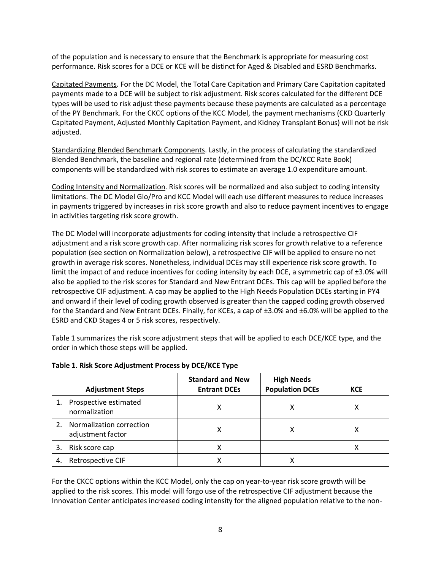of the population and is necessary to ensure that the Benchmark is appropriate for measuring cost performance. Risk scores for a DCE or KCE will be distinct for Aged & Disabled and ESRD Benchmarks.

Capitated Payments. For the DC Model, the Total Care Capitation and Primary Care Capitation capitated payments made to a DCE will be subject to risk adjustment. Risk scores calculated for the different DCE types will be used to risk adjust these payments because these payments are calculated as a percentage of the PY Benchmark. For the CKCC options of the KCC Model, the payment mechanisms (CKD Quarterly Capitated Payment, Adjusted Monthly Capitation Payment, and Kidney Transplant Bonus) will not be risk adjusted.

Standardizing Blended Benchmark Components. Lastly, in the process of calculating the standardized Blended Benchmark, the baseline and regional rate (determined from the DC/KCC Rate Book) components will be standardized with risk scores to estimate an average 1.0 expenditure amount.

Coding Intensity and Normalization. Risk scores will be normalized and also subject to coding intensity limitations. The DC Model Glo/Pro and KCC Model will each use different measures to reduce increases in payments triggered by increases in risk score growth and also to reduce payment incentives to engage in activities targeting risk score growth.

The DC Model will incorporate adjustments for coding intensity that include a retrospective CIF adjustment and a risk score growth cap. After normalizing risk scores for growth relative to a reference population (see section on Normalization below), a retrospective CIF will be applied to ensure no net growth in average risk scores. Nonetheless, individual DCEs may still experience risk score growth. To limit the impact of and reduce incentives for coding intensity by each DCE, a symmetric cap of ±3.0% will also be applied to the risk scores for Standard and New Entrant DCEs. This cap will be applied before the retrospective CIF adjustment. A cap may be applied to the High Needs Population DCEs starting in PY4 and onward if their level of coding growth observed is greater than the capped coding growth observed for the Standard and New Entrant DCEs. Finally, for KCEs, a cap of ±3.0% and ±6.0% will be applied to the ESRD and CKD Stages 4 or 5 risk scores, respectively.

Table 1 summarizes the risk score adjustment steps that will be applied to each DCE/KCE type, and the order in which those steps will be applied.

|    | <b>Adjustment Steps</b>                       | <b>Standard and New</b><br><b>Entrant DCEs</b> | <b>High Needs</b><br><b>Population DCEs</b> | <b>KCE</b> |
|----|-----------------------------------------------|------------------------------------------------|---------------------------------------------|------------|
|    | Prospective estimated<br>normalization        |                                                |                                             |            |
| 2. | Normalization correction<br>adjustment factor |                                                |                                             |            |
| 3. | Risk score cap                                |                                                |                                             |            |
| 4. | Retrospective CIF                             |                                                |                                             |            |

#### **Table 1. Risk Score Adjustment Process by DCE/KCE Type**

For the CKCC options within the KCC Model, only the cap on year-to-year risk score growth will be applied to the risk scores. This model will forgo use of the retrospective CIF adjustment because the Innovation Center anticipates increased coding intensity for the aligned population relative to the non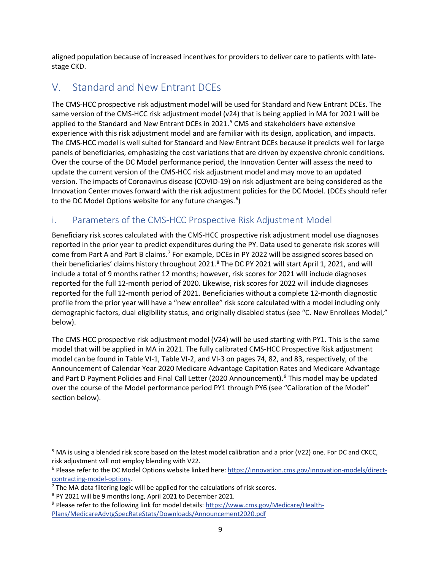aligned population because of increased incentives for providers to deliver care to patients with latestage CKD.

## V. Standard and New Entrant DCEs

The CMS-HCC prospective risk adjustment model will be used for Standard and New Entrant DCEs. The same version of the CMS-HCC risk adjustment model (v24) that is being applied in MA for 2021 will be applied to the Standard and New Entrant DCEs in 2021.<sup>5</sup> CMS and stakeholders have extensive experience with this risk adjustment model and are familiar with its design, application, and impacts. The CMS-HCC model is well suited for Standard and New Entrant DCEs because it predicts well for large panels of beneficiaries, emphasizing the cost variations that are driven by expensive chronic conditions. Over the course of the DC Model performance period, the Innovation Center will assess the need to update the current version of the CMS-HCC risk adjustment model and may move to an updated version. The impacts of Coronavirus disease (COVID-19) on risk adjustment are being considered as the Innovation Center moves forward with the risk adjustment policies for the DC Model. (DCEs should refer to the DC Model Options website for any future changes.<sup>6</sup>)

## i. Parameters of the CMS-HCC Prospective Risk Adjustment Model

Beneficiary risk scores calculated with the CMS-HCC prospective risk adjustment model use diagnoses reported in the prior year to predict expenditures during the PY. Data used to generate risk scores will come from Part A and Part B claims.<sup>7</sup> For example, DCEs in PY 2022 will be assigned scores based on their beneficiaries' claims history throughout 2021.<sup>8</sup> The DC PY 2021 will start April 1, 2021, and will include a total of 9 months rather 12 months; however, risk scores for 2021 will include diagnoses reported for the full 12-month period of 2020. Likewise, risk scores for 2022 will include diagnoses reported for the full 12-month period of 2021. Beneficiaries without a complete 12-month diagnostic profile from the prior year will have a "new enrollee" risk score calculated with a model including only demographic factors, dual eligibility status, and originally disabled status (see "C. New Enrollees Model," below).

The CMS-HCC prospective risk adjustment model (V24) will be used starting with PY1. This is the same model that will be applied in MA in 2021. The fully calibrated CMS-HCC Prospective Risk adjustment model can be found in Table VI-1, Table VI-2, and VI-3 on pages 74, 82, and 83, respectively, of the Announcement of Calendar Year 2020 Medicare Advantage Capitation Rates and Medicare Advantage and Part D Payment Policies and Final Call Letter (2020 Announcement). <sup>9</sup> This model may be updated over the course of the Model performance period PY1 through PY6 (see "Calibration of the Model" section below).

<sup>&</sup>lt;sup>5</sup> MA is using a blended risk score based on the latest model calibration and a prior (V22) one. For DC and CKCC,

risk adjustment will not employ blending with V22.<br><sup>6</sup> Please refer to the DC Model Options website linked here: [https://innovation.cms.gov/innovation-models/direct-](https://innovation.cms.gov/innovation-models/direct-contracting-model-options) $\frac{\text{contracting-model-options}}{7}$  The MA data filtering logic will be applied for the calculations of risk scores.

<sup>8</sup> PY 2021 will be 9 months long, April 2021 to December 2021.

<sup>9</sup> Please refer to the following link for model details: [https://www.cms.gov/Medicare/Health-](https://www.cms.gov/Medicare/Health-Plans/MedicareAdvtgSpecRateStats/Downloads/Announcement2020.pdf)[Plans/MedicareAdvtgSpecRateStats/Downloads/Announcement2020.pdf](https://www.cms.gov/Medicare/Health-Plans/MedicareAdvtgSpecRateStats/Downloads/Announcement2020.pdf)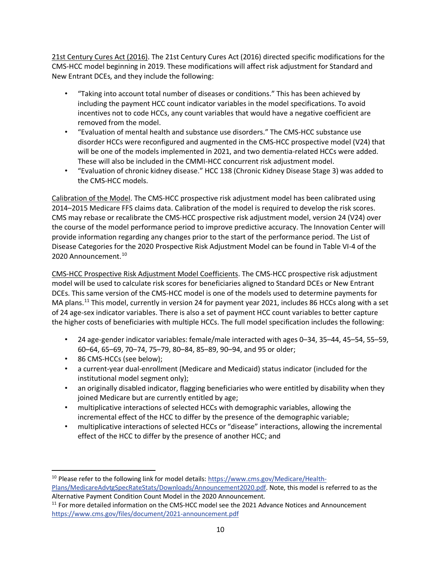21st Century Cures Act (2016). The 21st Century Cures Act (2016) directed specific modifications for the CMS-HCC model beginning in 2019. These modifications will affect risk adjustment for Standard and New Entrant DCEs, and they include the following:

- "Taking into account total number of diseases or conditions." This has been achieved by including the payment HCC count indicator variables in the model specifications. To avoid incentives not to code HCCs, any count variables that would have a negative coefficient are removed from the model.
- "Evaluation of mental health and substance use disorders." The CMS-HCC substance use disorder HCCs were reconfigured and augmented in the CMS-HCC prospective model (V24) that will be one of the models implemented in 2021, and two dementia-related HCCs were added. These will also be included in the CMMI-HCC concurrent risk adjustment model.
- "Evaluation of chronic kidney disease." HCC 138 (Chronic Kidney Disease Stage 3) was added to the CMS-HCC models.

Calibration of the Model. The CMS-HCC prospective risk adjustment model has been calibrated using 2014–2015 Medicare FFS claims data. Calibration of the model is required to develop the risk scores. CMS may rebase or recalibrate the CMS-HCC prospective risk adjustment model, version 24 (V24) over the course of the model performance period to improve predictive accuracy. The Innovation Center will provide information regarding any changes prior to the start of the performance period. The List of Disease Categories for the 2020 Prospective Risk Adjustment Model can be found in Table VI-4 of the 2020 Announcement.<sup>10</sup>

CMS-HCC Prospective Risk Adjustment Model Coefficients. The CMS-HCC prospective risk adjustment model will be used to calculate risk scores for beneficiaries aligned to Standard DCEs or New Entrant DCEs. This same version of the CMS-HCC model is one of the models used to determine payments for MA plans.<sup>11</sup> This model, currently in version 24 for payment year 2021, includes 86 HCCs along with a set of 24 age-sex indicator variables. There is also a set of payment HCC count variables to better capture the higher costs of beneficiaries with multiple HCCs. The full model specification includes the following:

- 24 age-gender indicator variables: female/male interacted with ages 0–34, 35–44, 45–54, 55–59, 60–64, 65–69, 70–74, 75–79, 80–84, 85–89, 90–94, and 95 or older;
- 86 CMS-HCCs (see below);
- a current-year dual-enrollment (Medicare and Medicaid) status indicator (included for the institutional model segment only);
- an originally disabled indicator, flagging beneficiaries who were entitled by disability when they joined Medicare but are currently entitled by age;
- multiplicative interactions of selected HCCs with demographic variables, allowing the incremental effect of the HCC to differ by the presence of the demographic variable;
- multiplicative interactions of selected HCCs or "disease" interactions, allowing the incremental effect of the HCC to differ by the presence of another HCC; and

<sup>&</sup>lt;sup>10</sup> Please refer to the following link for model details: [https://www.cms.gov/Medicare/Health-](https://www.cms.gov/Medicare/Health-Plans/MedicareAdvtgSpecRateStats/Downloads/Announcement2020.pdf)[Plans/MedicareAdvtgSpecRateStats/Downloads/Announcement2020.pdf.](https://www.cms.gov/Medicare/Health-Plans/MedicareAdvtgSpecRateStats/Downloads/Announcement2020.pdf) Note, this model is referred to as the Alternative Payment Condition Count Model in the 2020 Announcement.

<sup>&</sup>lt;sup>11</sup> For more detailed information on the CMS-HCC model see the 2021 Advance Notices and Announcement <https://www.cms.gov/files/document/2021-announcement.pdf>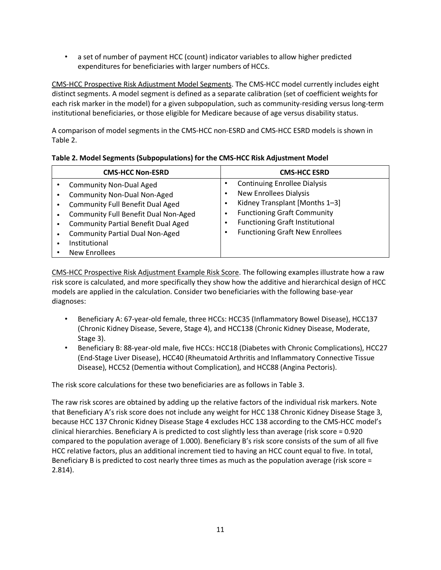• a set of number of payment HCC (count) indicator variables to allow higher predicted expenditures for beneficiaries with larger numbers of HCCs.

CMS-HCC Prospective Risk Adjustment Model Segments. The CMS-HCC model currently includes eight distinct segments. A model segment is defined as a separate calibration (set of coefficient weights for each risk marker in the model) for a given subpopulation, such as community-residing versus long-term institutional beneficiaries, or those eligible for Medicare because of age versus disability status.

A comparison of model segments in the CMS-HCC non-ESRD and CMS-HCC ESRD models is shown in Table 2.

|  |  |  |  | Table 2. Model Segments (Subpopulations) for the CMS-HCC Risk Adjustment Model |  |
|--|--|--|--|--------------------------------------------------------------------------------|--|
|--|--|--|--|--------------------------------------------------------------------------------|--|

| <b>CMS-HCC Non-ESRD</b>                                                                                                                                                                                                                                                                         | <b>CMS-HCC ESRD</b>                                                                                                                                                                                                              |
|-------------------------------------------------------------------------------------------------------------------------------------------------------------------------------------------------------------------------------------------------------------------------------------------------|----------------------------------------------------------------------------------------------------------------------------------------------------------------------------------------------------------------------------------|
| <b>Community Non-Dual Aged</b><br><b>Community Non-Dual Non-Aged</b><br><b>Community Full Benefit Dual Aged</b><br><b>Community Full Benefit Dual Non-Aged</b><br><b>Community Partial Benefit Dual Aged</b><br><b>Community Partial Dual Non-Aged</b><br>Institutional<br><b>New Enrollees</b> | <b>Continuing Enrollee Dialysis</b><br><b>New Enrollees Dialysis</b><br>Kidney Transplant [Months 1-3]<br><b>Functioning Graft Community</b><br><b>Functioning Graft Institutional</b><br><b>Functioning Graft New Enrollees</b> |

CMS-HCC Prospective Risk Adjustment Example Risk Score. The following examples illustrate how a raw risk score is calculated, and more specifically they show how the additive and hierarchical design of HCC models are applied in the calculation. Consider two beneficiaries with the following base-year diagnoses:

- Beneficiary A: 67-year-old female, three HCCs: HCC35 (Inflammatory Bowel Disease), HCC137 (Chronic Kidney Disease, Severe, Stage 4), and HCC138 (Chronic Kidney Disease, Moderate, Stage 3).
- Beneficiary B: 88-year-old male, five HCCs: HCC18 (Diabetes with Chronic Complications), HCC27 (End-Stage Liver Disease), HCC40 (Rheumatoid Arthritis and Inflammatory Connective Tissue Disease), HCC52 (Dementia without Complication), and HCC88 (Angina Pectoris).

The risk score calculations for these two beneficiaries are as follows in Table 3.

The raw risk scores are obtained by adding up the relative factors of the individual risk markers. Note that Beneficiary A's risk score does not include any weight for HCC 138 Chronic Kidney Disease Stage 3, because HCC 137 Chronic Kidney Disease Stage 4 excludes HCC 138 according to the CMS-HCC model's clinical hierarchies. Beneficiary A is predicted to cost slightly less than average (risk score = 0.920 compared to the population average of 1.000). Beneficiary B's risk score consists of the sum of all five HCC relative factors, plus an additional increment tied to having an HCC count equal to five. In total, Beneficiary B is predicted to cost nearly three times as much as the population average (risk score = 2.814).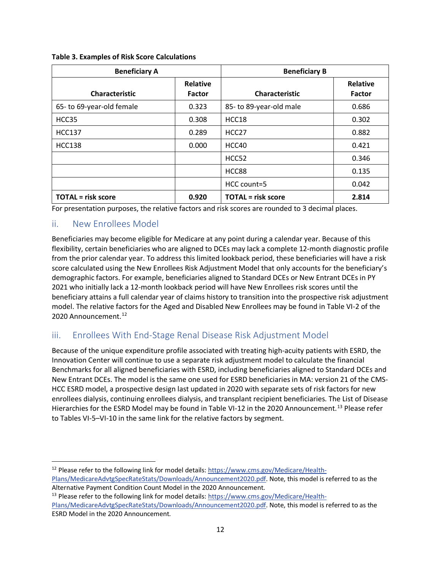| <b>Beneficiary A</b>      |                                  | <b>Beneficiary B</b>      |                                  |
|---------------------------|----------------------------------|---------------------------|----------------------------------|
| <b>Characteristic</b>     | <b>Relative</b><br><b>Factor</b> | <b>Characteristic</b>     | <b>Relative</b><br><b>Factor</b> |
| 65- to 69-year-old female | 0.323                            | 85- to 89-year-old male   | 0.686                            |
| HCC35                     | 0.308                            | HCC <sub>18</sub>         | 0.302                            |
| <b>HCC137</b>             | 0.289                            | HCC <sub>27</sub>         | 0.882                            |
| <b>HCC138</b>             | 0.000                            | HCC40                     | 0.421                            |
|                           |                                  | HCC <sub>52</sub>         | 0.346                            |
|                           |                                  | HCC88                     | 0.135                            |
|                           |                                  | HCC count=5               | 0.042                            |
| <b>TOTAL</b> = risk score | 0.920                            | <b>TOTAL</b> = risk score | 2.814                            |

#### **Table 3. Examples of Risk Score Calculations**

For presentation purposes, the relative factors and risk scores are rounded to 3 decimal places.

#### ii. New Enrollees Model

Beneficiaries may become eligible for Medicare at any point during a calendar year. Because of this flexibility, certain beneficiaries who are aligned to DCEs may lack a complete 12-month diagnostic profile from the prior calendar year. To address this limited lookback period, these beneficiaries will have a risk score calculated using the New Enrollees Risk Adjustment Model that only accounts for the beneficiary's demographic factors. For example, beneficiaries aligned to Standard DCEs or New Entrant DCEs in PY 2021 who initially lack a 12-month lookback period will have New Enrollees risk scores until the beneficiary attains a full calendar year of claims history to transition into the prospective risk adjustment model. The relative factors for the Aged and Disabled New Enrollees may be found in Table VI-2 of the 2020 Announcement.<sup>12</sup>

#### iii. Enrollees With End-Stage Renal Disease Risk Adjustment Model

Because of the unique expenditure profile associated with treating high-acuity patients with ESRD, the Innovation Center will continue to use a separate risk adjustment model to calculate the financial Benchmarks for all aligned beneficiaries with ESRD, including beneficiaries aligned to Standard DCEs and New Entrant DCEs. The model is the same one used for ESRD beneficiaries in MA: version 21 of the CMS-HCC ESRD model, a prospective design last updated in 2020 with separate sets of risk factors for new enrollees dialysis, continuing enrollees dialysis, and transplant recipient beneficiaries. The List of Disease Hierarchies for the ESRD Model may be found in Table VI-12 in the 2020 Announcement.<sup>13</sup> Please refer to Tables VI-5–VI-10 in the same link for the relative factors by segment.

<sup>12</sup> Please refer to the following link for model details: [https://www.cms.gov/Medicare/Health-](https://www.cms.gov/Medicare/Health-Plans/MedicareAdvtgSpecRateStats/Downloads/Announcement2020.pdf)[Plans/MedicareAdvtgSpecRateStats/Downloads/Announcement2020.pdf.](https://www.cms.gov/Medicare/Health-Plans/MedicareAdvtgSpecRateStats/Downloads/Announcement2020.pdf) Note, this model is referred to as the Alternative Payment Condition Count Model in the 2020 Announcement.

<sup>&</sup>lt;sup>13</sup> Please refer to the following link for model details: [https://www.cms.gov/Medicare/Health-](https://www.cms.gov/Medicare/Health-Plans/MedicareAdvtgSpecRateStats/Downloads/Announcement2020.pdf)[Plans/MedicareAdvtgSpecRateStats/Downloads/Announcement2020.pdf](https://www.cms.gov/Medicare/Health-Plans/MedicareAdvtgSpecRateStats/Downloads/Announcement2020.pdf). Note, this model is referred to as the ESRD Model in the 2020 Announcement.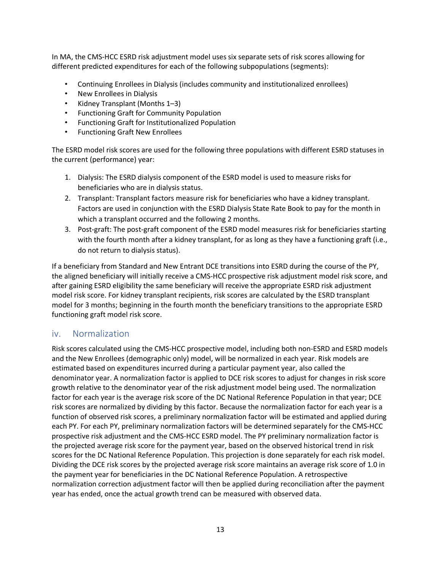In MA, the CMS-HCC ESRD risk adjustment model uses six separate sets of risk scores allowing for different predicted expenditures for each of the following subpopulations (segments):

- Continuing Enrollees in Dialysis (includes community and institutionalized enrollees)
- New Enrollees in Dialysis
- Kidney Transplant (Months 1–3)
- Functioning Graft for Community Population
- Functioning Graft for Institutionalized Population
- Functioning Graft New Enrollees

The ESRD model risk scores are used for the following three populations with different ESRD statuses in the current (performance) year:

- 1. Dialysis: The ESRD dialysis component of the ESRD model is used to measure risks for beneficiaries who are in dialysis status.
- 2. Transplant: Transplant factors measure risk for beneficiaries who have a kidney transplant. Factors are used in conjunction with the ESRD Dialysis State Rate Book to pay for the month in which a transplant occurred and the following 2 months.
- 3. Post-graft: The post-graft component of the ESRD model measures risk for beneficiaries starting with the fourth month after a kidney transplant, for as long as they have a functioning graft (i.e., do not return to dialysis status).

If a beneficiary from Standard and New Entrant DCE transitions into ESRD during the course of the PY, the aligned beneficiary will initially receive a CMS-HCC prospective risk adjustment model risk score, and after gaining ESRD eligibility the same beneficiary will receive the appropriate ESRD risk adjustment model risk score. For kidney transplant recipients, risk scores are calculated by the ESRD transplant model for 3 months; beginning in the fourth month the beneficiary transitions to the appropriate ESRD functioning graft model risk score.

#### iv. Normalization

Risk scores calculated using the CMS-HCC prospective model, including both non-ESRD and ESRD models and the New Enrollees (demographic only) model, will be normalized in each year. Risk models are estimated based on expenditures incurred during a particular payment year, also called the denominator year. A normalization factor is applied to DCE risk scores to adjust for changes in risk score growth relative to the denominator year of the risk adjustment model being used. The normalization factor for each year is the average risk score of the DC National Reference Population in that year; DCE risk scores are normalized by dividing by this factor. Because the normalization factor for each year is a function of observed risk scores, a preliminary normalization factor will be estimated and applied during each PY. For each PY, preliminary normalization factors will be determined separately for the CMS-HCC prospective risk adjustment and the CMS-HCC ESRD model. The PY preliminary normalization factor is the projected average risk score for the payment year, based on the observed historical trend in risk scores for the DC National Reference Population. This projection is done separately for each risk model. Dividing the DCE risk scores by the projected average risk score maintains an average risk score of 1.0 in the payment year for beneficiaries in the DC National Reference Population. A retrospective normalization correction adjustment factor will then be applied during reconciliation after the payment year has ended, once the actual growth trend can be measured with observed data.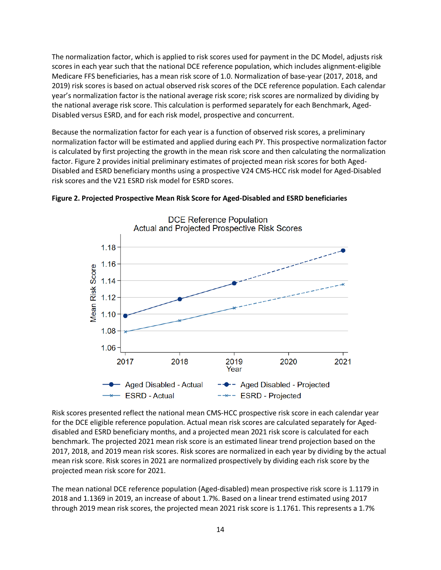The normalization factor, which is applied to risk scores used for payment in the DC Model, adjusts risk scores in each year such that the national DCE reference population, which includes alignment-eligible Medicare FFS beneficiaries, has a mean risk score of 1.0. Normalization of base-year (2017, 2018, and 2019) risk scores is based on actual observed risk scores of the DCE reference population. Each calendar year's normalization factor is the national average risk score; risk scores are normalized by dividing by the national average risk score. This calculation is performed separately for each Benchmark, Aged-Disabled versus ESRD, and for each risk model, prospective and concurrent.

Because the normalization factor for each year is a function of observed risk scores, a preliminary normalization factor will be estimated and applied during each PY. This prospective normalization factor is calculated by first projecting the growth in the mean risk score and then calculating the normalization factor. Figure 2 provides initial preliminary estimates of projected mean risk scores for both Aged-Disabled and ESRD beneficiary months using a prospective V24 CMS-HCC risk model for Aged-Disabled risk scores and the V21 ESRD risk model for ESRD scores.



#### **Figure 2. Projected Prospective Mean Risk Score for Aged-Disabled and ESRD beneficiaries**

Risk scores presented reflect the national mean CMS-HCC prospective risk score in each calendar year for the DCE eligible reference population. Actual mean risk scores are calculated separately for Ageddisabled and ESRD beneficiary months, and a projected mean 2021 risk score is calculated for each benchmark. The projected 2021 mean risk score is an estimated linear trend projection based on the 2017, 2018, and 2019 mean risk scores. Risk scores are normalized in each year by dividing by the actual mean risk score. Risk scores in 2021 are normalized prospectively by dividing each risk score by the projected mean risk score for 2021.

The mean national DCE reference population (Aged-disabled) mean prospective risk score is 1.1179 in 2018 and 1.1369 in 2019, an increase of about 1.7%. Based on a linear trend estimated using 2017 through 2019 mean risk scores, the projected mean 2021 risk score is 1.1761. This represents a 1.7%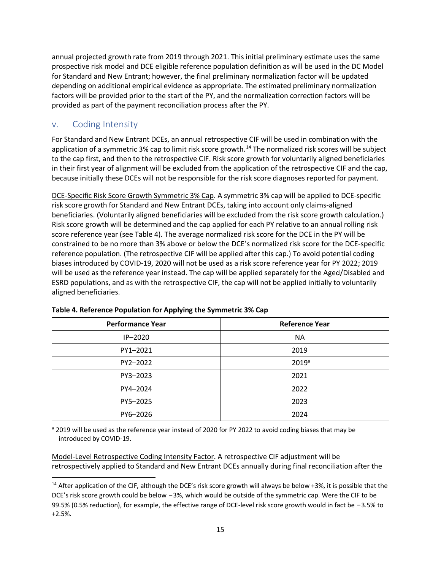annual projected growth rate from 2019 through 2021. This initial preliminary estimate uses the same prospective risk model and DCE eligible reference population definition as will be used in the DC Model for Standard and New Entrant; however, the final preliminary normalization factor will be updated depending on additional empirical evidence as appropriate. The estimated preliminary normalization factors will be provided prior to the start of the PY, and the normalization correction factors will be provided as part of the payment reconciliation process after the PY.

### v. Coding Intensity

For Standard and New Entrant DCEs, an annual retrospective CIF will be used in combination with the application of a symmetric 3% cap to limit risk score growth.<sup>14</sup> The normalized risk scores will be subject to the cap first, and then to the retrospective CIF. Risk score growth for voluntarily aligned beneficiaries in their first year of alignment will be excluded from the application of the retrospective CIF and the cap, because initially these DCEs will not be responsible for the risk score diagnoses reported for payment.

DCE-Specific Risk Score Growth Symmetric 3% Cap. A symmetric 3% cap will be applied to DCE-specific risk score growth for Standard and New Entrant DCEs, taking into account only claims-aligned beneficiaries. (Voluntarily aligned beneficiaries will be excluded from the risk score growth calculation.) Risk score growth will be determined and the cap applied for each PY relative to an annual rolling risk score reference year (see Table 4). The average normalized risk score for the DCE in the PY will be constrained to be no more than 3% above or below the DCE's normalized risk score for the DCE-specific reference population. (The retrospective CIF will be applied after this cap.) To avoid potential coding biases introduced by COVID-19, 2020 will not be used as a risk score reference year for PY 2022; 2019 will be used as the reference year instead. The cap will be applied separately for the Aged/Disabled and ESRD populations, and as with the retrospective CIF, the cap will not be applied initially to voluntarily aligned beneficiaries.

| <b>Performance Year</b> | <b>Reference Year</b> |
|-------------------------|-----------------------|
| $IP-2020$               | <b>NA</b>             |
| PY1-2021                | 2019                  |
| PY2-2022                | 2019 <sup>a</sup>     |
| PY3-2023                | 2021                  |
| PY4-2024                | 2022                  |
| PY5-2025                | 2023                  |
| PY6-2026                | 2024                  |

| Table 4. Reference Population for Applying the Symmetric 3% Cap |  |  |  |  |  |  |  |
|-----------------------------------------------------------------|--|--|--|--|--|--|--|
|-----------------------------------------------------------------|--|--|--|--|--|--|--|

a 2019 will be used as the reference year instead of 2020 for PY 2022 to avoid coding biases that may be introduced by COVID-19.

Model-Level Retrospective Coding Intensity Factor. A retrospective CIF adjustment will be retrospectively applied to Standard and New Entrant DCEs annually during final reconciliation after the

<sup>&</sup>lt;sup>14</sup> After application of the CIF, although the DCE's risk score growth will always be below +3%, it is possible that the DCE's risk score growth could be below −3%, which would be outside of the symmetric cap. Were the CIF to be 99.5% (0.5% reduction), for example, the effective range of DCE-level risk score growth would in fact be −3.5% to +2.5%.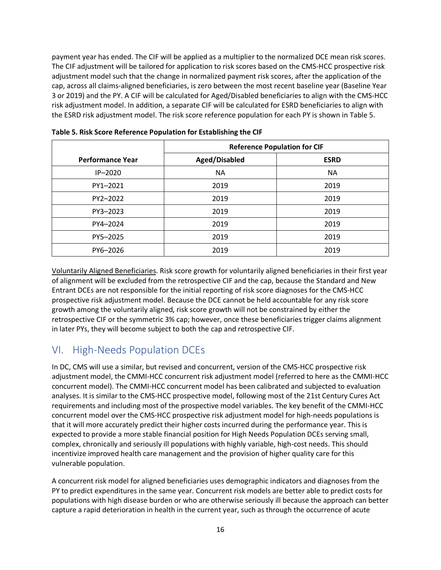payment year has ended. The CIF will be applied as a multiplier to the normalized DCE mean risk scores. The CIF adjustment will be tailored for application to risk scores based on the CMS-HCC prospective risk adjustment model such that the change in normalized payment risk scores, after the application of the cap, across all claims-aligned beneficiaries, is zero between the most recent baseline year (Baseline Year 3 or 2019) and the PY. A CIF will be calculated for Aged/Disabled beneficiaries to align with the CMS-HCC risk adjustment model. In addition, a separate CIF will be calculated for ESRD beneficiaries to align with the ESRD risk adjustment model. The risk score reference population for each PY is shown in Table 5.

|                         | <b>Reference Population for CIF</b> |             |
|-------------------------|-------------------------------------|-------------|
| <b>Performance Year</b> | Aged/Disabled                       | <b>ESRD</b> |
| $IP-2020$               | <b>NA</b>                           | <b>NA</b>   |
| PY1-2021                | 2019                                | 2019        |
| PY2-2022                | 2019                                | 2019        |
| PY3-2023                | 2019                                | 2019        |
| PY4-2024                | 2019                                | 2019        |
| PY5-2025                | 2019                                | 2019        |
| PY6-2026                | 2019                                | 2019        |

**Table 5. Risk Score Reference Population for Establishing the CIF**

Voluntarily Aligned Beneficiaries. Risk score growth for voluntarily aligned beneficiaries in their first year of alignment will be excluded from the retrospective CIF and the cap, because the Standard and New Entrant DCEs are not responsible for the initial reporting of risk score diagnoses for the CMS-HCC prospective risk adjustment model. Because the DCE cannot be held accountable for any risk score growth among the voluntarily aligned, risk score growth will not be constrained by either the retrospective CIF or the symmetric 3% cap; however, once these beneficiaries trigger claims alignment in later PYs, they will become subject to both the cap and retrospective CIF.

## VI. High-Needs Population DCEs

In DC, CMS will use a similar, but revised and concurrent, version of the CMS-HCC prospective risk adjustment model, the CMMI-HCC concurrent risk adjustment model (referred to here as the CMMI-HCC concurrent model). The CMMI-HCC concurrent model has been calibrated and subjected to evaluation analyses. It is similar to the CMS-HCC prospective model, following most of the 21st Century Cures Act requirements and including most of the prospective model variables. The key benefit of the CMMI-HCC concurrent model over the CMS-HCC prospective risk adjustment model for high-needs populations is that it will more accurately predict their higher costs incurred during the performance year. This is expected to provide a more stable financial position for High Needs Population DCEs serving small, complex, chronically and seriously ill populations with highly variable, high-cost needs. This should incentivize improved health care management and the provision of higher quality care for this vulnerable population.

A concurrent risk model for aligned beneficiaries uses demographic indicators and diagnoses from the PY to predict expenditures in the same year. Concurrent risk models are better able to predict costs for populations with high disease burden or who are otherwise seriously ill because the approach can better capture a rapid deterioration in health in the current year, such as through the occurrence of acute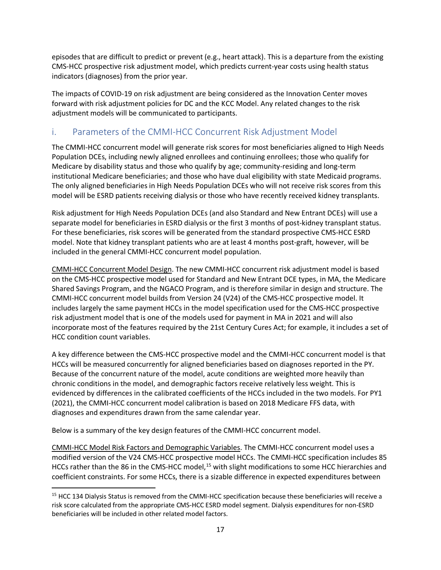episodes that are difficult to predict or prevent (e.g., heart attack). This is a departure from the existing CMS-HCC prospective risk adjustment model, which predicts current-year costs using health status indicators (diagnoses) from the prior year.

The impacts of COVID-19 on risk adjustment are being considered as the Innovation Center moves forward with risk adjustment policies for DC and the KCC Model. Any related changes to the risk adjustment models will be communicated to participants.

## i. Parameters of the CMMI-HCC Concurrent Risk Adjustment Model

The CMMI-HCC concurrent model will generate risk scores for most beneficiaries aligned to High Needs Population DCEs, including newly aligned enrollees and continuing enrollees; those who qualify for Medicare by disability status and those who qualify by age; community-residing and long-term institutional Medicare beneficiaries; and those who have dual eligibility with state Medicaid programs. The only aligned beneficiaries in High Needs Population DCEs who will not receive risk scores from this model will be ESRD patients receiving dialysis or those who have recently received kidney transplants.

Risk adjustment for High Needs Population DCEs (and also Standard and New Entrant DCEs) will use a separate model for beneficiaries in ESRD dialysis or the first 3 months of post-kidney transplant status. For these beneficiaries, risk scores will be generated from the standard prospective CMS-HCC ESRD model. Note that kidney transplant patients who are at least 4 months post-graft, however, will be included in the general CMMI-HCC concurrent model population.

CMMI-HCC Concurrent Model Design. The new CMMI-HCC concurrent risk adjustment model is based on the CMS-HCC prospective model used for Standard and New Entrant DCE types, in MA, the Medicare Shared Savings Program, and the NGACO Program, and is therefore similar in design and structure. The CMMI-HCC concurrent model builds from Version 24 (V24) of the CMS-HCC prospective model. It includes largely the same payment HCCs in the model specification used for the CMS-HCC prospective risk adjustment model that is one of the models used for payment in MA in 2021 and will also incorporate most of the features required by the 21st Century Cures Act; for example, it includes a set of HCC condition count variables.

A key difference between the CMS-HCC prospective model and the CMMI-HCC concurrent model is that HCCs will be measured concurrently for aligned beneficiaries based on diagnoses reported in the PY. Because of the concurrent nature of the model, acute conditions are weighted more heavily than chronic conditions in the model, and demographic factors receive relatively less weight. This is evidenced by differences in the calibrated coefficients of the HCCs included in the two models. For PY1 (2021), the CMMI-HCC concurrent model calibration is based on 2018 Medicare FFS data, with diagnoses and expenditures drawn from the same calendar year.

Below is a summary of the key design features of the CMMI-HCC concurrent model.

CMMI-HCC Model Risk Factors and Demographic Variables. The CMMI-HCC concurrent model uses a modified version of the V24 CMS-HCC prospective model HCCs. The CMMI-HCC specification includes 85 HCCs rather than the 86 in the CMS-HCC model,<sup>15</sup> with slight modifications to some HCC hierarchies and coefficient constraints. For some HCCs, there is a sizable difference in expected expenditures between

<sup>&</sup>lt;sup>15</sup> HCC 134 Dialysis Status is removed from the CMMI-HCC specification because these beneficiaries will receive a risk score calculated from the appropriate CMS-HCC ESRD model segment. Dialysis expenditures for non-ESRD beneficiaries will be included in other related model factors.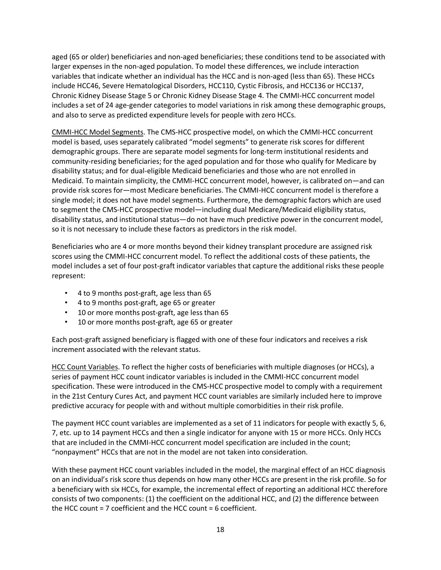aged (65 or older) beneficiaries and non-aged beneficiaries; these conditions tend to be associated with larger expenses in the non-aged population. To model these differences, we include interaction variables that indicate whether an individual has the HCC and is non-aged (less than 65). These HCCs include HCC46, Severe Hematological Disorders, HCC110, Cystic Fibrosis, and HCC136 or HCC137, Chronic Kidney Disease Stage 5 or Chronic Kidney Disease Stage 4. The CMMI-HCC concurrent model includes a set of 24 age-gender categories to model variations in risk among these demographic groups, and also to serve as predicted expenditure levels for people with zero HCCs.

CMMI-HCC Model Segments. The CMS-HCC prospective model, on which the CMMI-HCC concurrent model is based, uses separately calibrated "model segments" to generate risk scores for different demographic groups. There are separate model segments for long-term institutional residents and community-residing beneficiaries; for the aged population and for those who qualify for Medicare by disability status; and for dual-eligible Medicaid beneficiaries and those who are not enrolled in Medicaid. To maintain simplicity, the CMMI-HCC concurrent model, however, is calibrated on—and can provide risk scores for—most Medicare beneficiaries. The CMMI-HCC concurrent model is therefore a single model; it does not have model segments. Furthermore, the demographic factors which are used to segment the CMS-HCC prospective model—including dual Medicare/Medicaid eligibility status, disability status, and institutional status—do not have much predictive power in the concurrent model, so it is not necessary to include these factors as predictors in the risk model.

Beneficiaries who are 4 or more months beyond their kidney transplant procedure are assigned risk scores using the CMMI-HCC concurrent model. To reflect the additional costs of these patients, the model includes a set of four post-graft indicator variables that capture the additional risks these people represent:

- 4 to 9 months post-graft, age less than 65
- 4 to 9 months post-graft, age 65 or greater
- 10 or more months post-graft, age less than 65
- 10 or more months post-graft, age 65 or greater

Each post-graft assigned beneficiary is flagged with one of these four indicators and receives a risk increment associated with the relevant status.

HCC Count Variables. To reflect the higher costs of beneficiaries with multiple diagnoses (or HCCs), a series of payment HCC count indicator variables is included in the CMMI-HCC concurrent model specification. These were introduced in the CMS-HCC prospective model to comply with a requirement in the 21st Century Cures Act, and payment HCC count variables are similarly included here to improve predictive accuracy for people with and without multiple comorbidities in their risk profile.

The payment HCC count variables are implemented as a set of 11 indicators for people with exactly 5, 6, 7, etc. up to 14 payment HCCs and then a single indicator for anyone with 15 or more HCCs. Only HCCs that are included in the CMMI-HCC concurrent model specification are included in the count; "nonpayment" HCCs that are not in the model are not taken into consideration.

With these payment HCC count variables included in the model, the marginal effect of an HCC diagnosis on an individual's risk score thus depends on how many other HCCs are present in the risk profile. So for a beneficiary with six HCCs, for example, the incremental effect of reporting an additional HCC therefore consists of two components: (1) the coefficient on the additional HCC, and (2) the difference between the HCC count = 7 coefficient and the HCC count = 6 coefficient.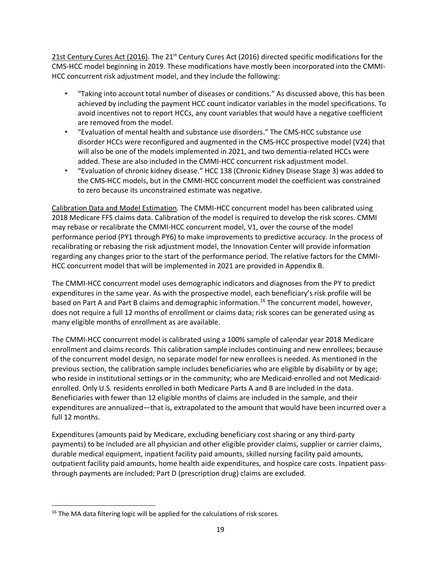21st Century Cures Act (2016). The 21<sup>st</sup> Century Cures Act (2016) directed specific modifications for the CMS-HCC model beginning in 2019. These modifications have mostly been incorporated into the CMMI-HCC concurrent risk adjustment model, and they include the following:

- "Taking into account total number of diseases or conditions." As discussed above, this has been achieved by including the payment HCC count indicator variables in the model specifications. To avoid incentives not to report HCCs, any count variables that would have a negative coefficient are removed from the model.
- "Evaluation of mental health and substance use disorders." The CMS-HCC substance use disorder HCCs were reconfigured and augmented in the CMS-HCC prospective model (V24) that will also be one of the models implemented in 2021, and two dementia-related HCCs were added. These are also included in the CMMI-HCC concurrent risk adjustment model.
- "Evaluation of chronic kidney disease." HCC 138 (Chronic Kidney Disease Stage 3) was added to the CMS-HCC models, but in the CMMI-HCC concurrent model the coefficient was constrained to zero because its unconstrained estimate was negative.

Calibration Data and Model Estimation. The CMMI-HCC concurrent model has been calibrated using 2018 Medicare FFS claims data. Calibration of the model is required to develop the risk scores. CMMI may rebase or recalibrate the CMMI-HCC concurrent model, V1, over the course of the model performance period (PY1 through PY6) to make improvements to predictive accuracy. In the process of recalibrating or rebasing the risk adjustment model, the Innovation Center will provide information regarding any changes prior to the start of the performance period. The relative factors for the CMMI-HCC concurrent model that will be implemented in 2021 are provided in Appendix B.

The CMMI-HCC concurrent model uses demographic indicators and diagnoses from the PY to predict expenditures in the same year. As with the prospective model, each beneficiary's risk profile will be based on Part A and Part B claims and demographic information.<sup>16</sup> The concurrent model, however, does not require a full 12 months of enrollment or claims data; risk scores can be generated using as many eligible months of enrollment as are available.

The CMMI-HCC concurrent model is calibrated using a 100% sample of calendar year 2018 Medicare enrollment and claims records. This calibration sample includes continuing and new enrollees; because of the concurrent model design, no separate model for new enrollees is needed. As mentioned in the previous section, the calibration sample includes beneficiaries who are eligible by disability or by age; who reside in institutional settings or in the community; who are Medicaid-enrolled and not Medicaidenrolled. Only U.S. residents enrolled in both Medicare Parts A and B are included in the data. Beneficiaries with fewer than 12 eligible months of claims are included in the sample, and their expenditures are annualized—that is, extrapolated to the amount that would have been incurred over a full 12 months.

Expenditures (amounts paid by Medicare, excluding beneficiary cost sharing or any third-party payments) to be included are all physician and other eligible provider claims, supplier or carrier claims, durable medical equipment, inpatient facility paid amounts, skilled nursing facility paid amounts, outpatient facility paid amounts, home health aide expenditures, and hospice care costs. Inpatient passthrough payments are included; Part D (prescription drug) claims are excluded.

 $16$  The MA data filtering logic will be applied for the calculations of risk scores.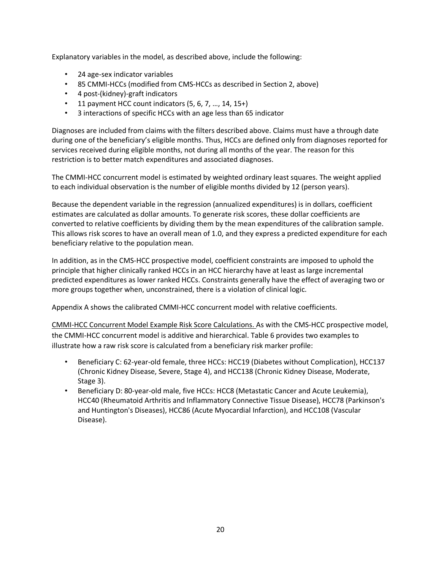Explanatory variables in the model, as described above, include the following:

- 24 age-sex indicator variables
- 85 CMMI-HCCs (modified from CMS-HCCs as described in Section 2, above)
- 4 post-(kidney)-graft indicators
- 11 payment HCC count indicators  $(5, 6, 7, ..., 14, 15+)$
- 3 interactions of specific HCCs with an age less than 65 indicator

Diagnoses are included from claims with the filters described above. Claims must have a through date during one of the beneficiary's eligible months. Thus, HCCs are defined only from diagnoses reported for services received during eligible months, not during all months of the year. The reason for this restriction is to better match expenditures and associated diagnoses.

The CMMI-HCC concurrent model is estimated by weighted ordinary least squares. The weight applied to each individual observation is the number of eligible months divided by 12 (person years).

Because the dependent variable in the regression (annualized expenditures) is in dollars, coefficient estimates are calculated as dollar amounts. To generate risk scores, these dollar coefficients are converted to relative coefficients by dividing them by the mean expenditures of the calibration sample. This allows risk scores to have an overall mean of 1.0, and they express a predicted expenditure for each beneficiary relative to the population mean.

In addition, as in the CMS-HCC prospective model, coefficient constraints are imposed to uphold the principle that higher clinically ranked HCCs in an HCC hierarchy have at least as large incremental predicted expenditures as lower ranked HCCs. Constraints generally have the effect of averaging two or more groups together when, unconstrained, there is a violation of clinical logic.

Appendix A shows the calibrated CMMI-HCC concurrent model with relative coefficients.

CMMI-HCC Concurrent Model Example Risk Score Calculations. As with the CMS-HCC prospective model, the CMMI-HCC concurrent model is additive and hierarchical. Table 6 provides two examples to illustrate how a raw risk score is calculated from a beneficiary risk marker profile:

- Beneficiary C: 62-year-old female, three HCCs: HCC19 (Diabetes without Complication), HCC137 (Chronic Kidney Disease, Severe, Stage 4), and HCC138 (Chronic Kidney Disease, Moderate, Stage 3).
- Beneficiary D: 80-year-old male, five HCCs: HCC8 (Metastatic Cancer and Acute Leukemia), HCC40 (Rheumatoid Arthritis and Inflammatory Connective Tissue Disease), HCC78 (Parkinson's and Huntington's Diseases), HCC86 (Acute Myocardial Infarction), and HCC108 (Vascular Disease).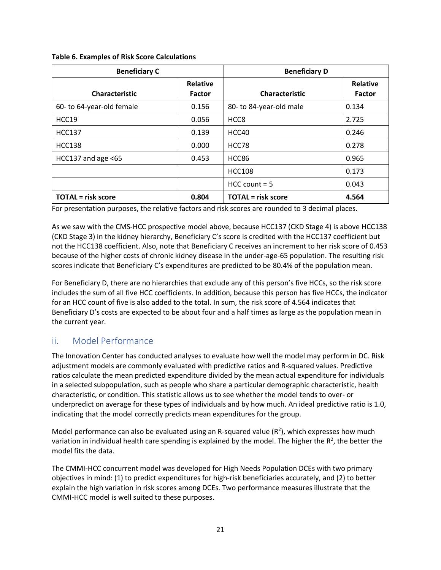| <b>Beneficiary C</b>      |                                  | <b>Beneficiary D</b>      |                           |
|---------------------------|----------------------------------|---------------------------|---------------------------|
| <b>Characteristic</b>     | <b>Relative</b><br><b>Factor</b> | <b>Characteristic</b>     | <b>Relative</b><br>Factor |
| 60- to 64-year-old female | 0.156                            | 80- to 84-year-old male   | 0.134                     |
| HCC19                     | 0.056                            | HCC <sub>8</sub>          | 2.725                     |
| <b>HCC137</b>             | 0.139                            | HCC40                     | 0.246                     |
| <b>HCC138</b>             | 0.000                            | HCC78                     | 0.278                     |
| HCC137 and age $<65$      | 0.453                            | HCC86                     | 0.965                     |
|                           |                                  | <b>HCC108</b>             | 0.173                     |
|                           |                                  | $HCC$ count = 5           | 0.043                     |
| <b>TOTAL</b> = risk score | 0.804                            | <b>TOTAL</b> = risk score | 4.564                     |

**Table 6. Examples of Risk Score Calculations**

For presentation purposes, the relative factors and risk scores are rounded to 3 decimal places.

As we saw with the CMS-HCC prospective model above, because HCC137 (CKD Stage 4) is above HCC138 (CKD Stage 3) in the kidney hierarchy, Beneficiary C's score is credited with the HCC137 coefficient but not the HCC138 coefficient. Also, note that Beneficiary C receives an increment to her risk score of 0.453 because of the higher costs of chronic kidney disease in the under-age-65 population. The resulting risk scores indicate that Beneficiary C's expenditures are predicted to be 80.4% of the population mean.

For Beneficiary D, there are no hierarchies that exclude any of this person's five HCCs, so the risk score includes the sum of all five HCC coefficients. In addition, because this person has five HCCs, the indicator for an HCC count of five is also added to the total. In sum, the risk score of 4.564 indicates that Beneficiary D's costs are expected to be about four and a half times as large as the population mean in the current year.

#### ii. Model Performance

The Innovation Center has conducted analyses to evaluate how well the model may perform in DC. Risk adjustment models are commonly evaluated with predictive ratios and R-squared values. Predictive ratios calculate the mean predicted expenditure divided by the mean actual expenditure for individuals in a selected subpopulation, such as people who share a particular demographic characteristic, health characteristic, or condition. This statistic allows us to see whether the model tends to over- or underpredict on average for these types of individuals and by how much. An ideal predictive ratio is 1.0, indicating that the model correctly predicts mean expenditures for the group.

Model performance can also be evaluated using an R-squared value  $(R^2)$ , which expresses how much variation in individual health care spending is explained by the model. The higher the  $R^2$ , the better the model fits the data.

The CMMI-HCC concurrent model was developed for High Needs Population DCEs with two primary objectives in mind: (1) to predict expenditures for high-risk beneficiaries accurately, and (2) to better explain the high variation in risk scores among DCEs. Two performance measures illustrate that the CMMI-HCC model is well suited to these purposes.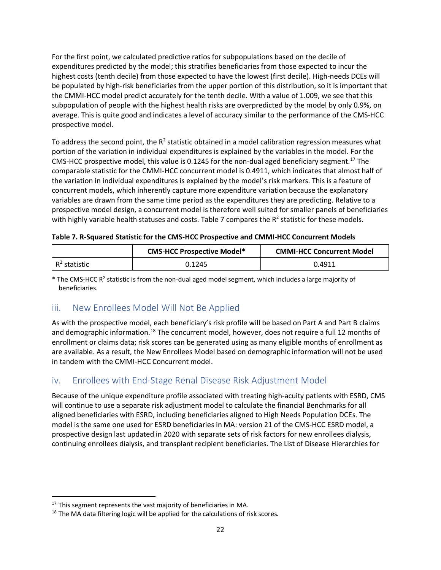For the first point, we calculated predictive ratios for subpopulations based on the decile of expenditures predicted by the model; this stratifies beneficiaries from those expected to incur the highest costs (tenth decile) from those expected to have the lowest (first decile). High-needs DCEs will be populated by high-risk beneficiaries from the upper portion of this distribution, so it is important that the CMMI-HCC model predict accurately for the tenth decile. With a value of 1.009, we see that this subpopulation of people with the highest health risks are overpredicted by the model by only 0.9%, on average. This is quite good and indicates a level of accuracy similar to the performance of the CMS-HCC prospective model.

To address the second point, the  $R^2$  statistic obtained in a model calibration regression measures what portion of the variation in individual expenditures is explained by the variables in the model. For the CMS-HCC prospective model, this value is 0.1245 for the non-dual aged beneficiary segment. <sup>17</sup> The comparable statistic for the CMMI-HCC concurrent model is 0.4911, which indicates that almost half of the variation in individual expenditures is explained by the model's risk markers. This is a feature of concurrent models, which inherently capture more expenditure variation because the explanatory variables are drawn from the same time period as the expenditures they are predicting. Relative to a prospective model design, a concurrent model is therefore well suited for smaller panels of beneficiaries with highly variable health statuses and costs. Table 7 compares the  $R<sup>2</sup>$  statistic for these models.

| <b>CMS-HCC Prospective Model*</b> |        | <b>CMMI-HCC Concurrent Model</b> |
|-----------------------------------|--------|----------------------------------|
| $R^2$ statistic                   | 0.1245 | 0.4911                           |

\* The CMS-HCC R<sup>2</sup> statistic is from the non-dual aged model segment, which includes a large majority of beneficiaries.

#### iii. New Enrollees Model Will Not Be Applied

As with the prospective model, each beneficiary's risk profile will be based on Part A and Part B claims and demographic information.<sup>18</sup> The concurrent model, however, does not require a full 12 months of enrollment or claims data; risk scores can be generated using as many eligible months of enrollment as are available. As a result, the New Enrollees Model based on demographic information will not be used in tandem with the CMMI-HCC Concurrent model.

## iv. Enrollees with End-Stage Renal Disease Risk Adjustment Model

Because of the unique expenditure profile associated with treating high-acuity patients with ESRD, CMS will continue to use a separate risk adjustment model to calculate the financial Benchmarks for all aligned beneficiaries with ESRD, including beneficiaries aligned to High Needs Population DCEs. The model is the same one used for ESRD beneficiaries in MA: version 21 of the CMS-HCC ESRD model, a prospective design last updated in 2020 with separate sets of risk factors for new enrollees dialysis, continuing enrollees dialysis, and transplant recipient beneficiaries. The List of Disease Hierarchies for

 $17$  This segment represents the vast majority of beneficiaries in MA.

 $18$  The MA data filtering logic will be applied for the calculations of risk scores.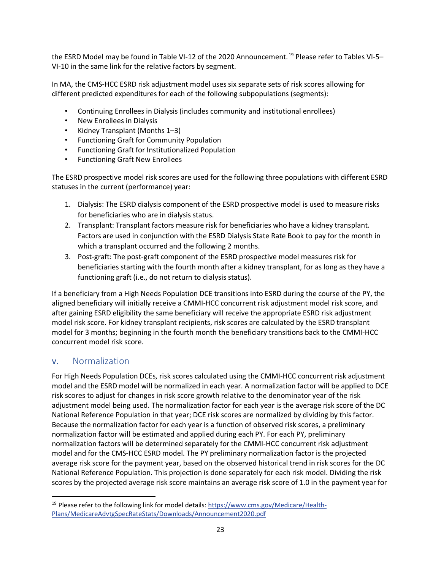the ESRD Model may be found in Table VI-12 of the 2020 Announcement.<sup>19</sup> Please refer to Tables VI-5– VI-10 in the same link for the relative factors by segment.

In MA, the CMS-HCC ESRD risk adjustment model uses six separate sets of risk scores allowing for different predicted expenditures for each of the following subpopulations (segments):

- Continuing Enrollees in Dialysis (includes community and institutional enrollees)
- New Enrollees in Dialysis
- Kidney Transplant (Months 1–3)
- Functioning Graft for Community Population
- Functioning Graft for Institutionalized Population
- Functioning Graft New Enrollees

The ESRD prospective model risk scores are used for the following three populations with different ESRD statuses in the current (performance) year:

- 1. Dialysis: The ESRD dialysis component of the ESRD prospective model is used to measure risks for beneficiaries who are in dialysis status.
- 2. Transplant: Transplant factors measure risk for beneficiaries who have a kidney transplant. Factors are used in conjunction with the ESRD Dialysis State Rate Book to pay for the month in which a transplant occurred and the following 2 months.
- 3. Post-graft: The post-graft component of the ESRD prospective model measures risk for beneficiaries starting with the fourth month after a kidney transplant, for as long as they have a functioning graft (i.e., do not return to dialysis status).

If a beneficiary from a High Needs Population DCE transitions into ESRD during the course of the PY, the aligned beneficiary will initially receive a CMMI-HCC concurrent risk adjustment model risk score, and after gaining ESRD eligibility the same beneficiary will receive the appropriate ESRD risk adjustment model risk score. For kidney transplant recipients, risk scores are calculated by the ESRD transplant model for 3 months; beginning in the fourth month the beneficiary transitions back to the CMMI-HCC concurrent model risk score.

#### v. Normalization

For High Needs Population DCEs, risk scores calculated using the CMMI-HCC concurrent risk adjustment model and the ESRD model will be normalized in each year. A normalization factor will be applied to DCE risk scores to adjust for changes in risk score growth relative to the denominator year of the risk adjustment model being used. The normalization factor for each year is the average risk score of the DC National Reference Population in that year; DCE risk scores are normalized by dividing by this factor. Because the normalization factor for each year is a function of observed risk scores, a preliminary normalization factor will be estimated and applied during each PY. For each PY, preliminary normalization factors will be determined separately for the CMMI-HCC concurrent risk adjustment model and for the CMS-HCC ESRD model. The PY preliminary normalization factor is the projected average risk score for the payment year, based on the observed historical trend in risk scores for the DC National Reference Population. This projection is done separately for each risk model. Dividing the risk scores by the projected average risk score maintains an average risk score of 1.0 in the payment year for

<sup>19</sup> Please refer to the following link for model details: [https://www.cms.gov/Medicare/Health-](https://www.cms.gov/Medicare/Health-Plans/MedicareAdvtgSpecRateStats/Downloads/Announcement2020.pdf)[Plans/MedicareAdvtgSpecRateStats/Downloads/Announcement2020.pdf](https://www.cms.gov/Medicare/Health-Plans/MedicareAdvtgSpecRateStats/Downloads/Announcement2020.pdf)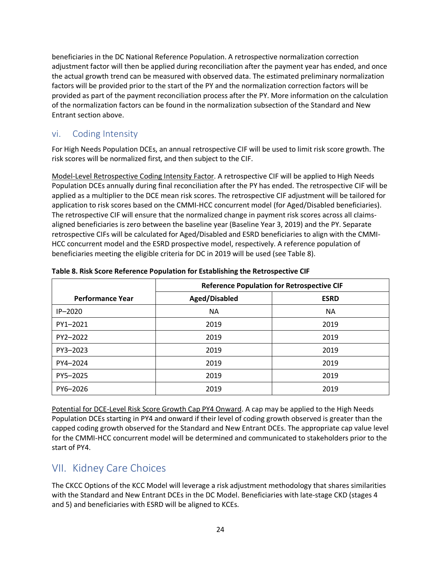beneficiaries in the DC National Reference Population. A retrospective normalization correction adjustment factor will then be applied during reconciliation after the payment year has ended, and once the actual growth trend can be measured with observed data. The estimated preliminary normalization factors will be provided prior to the start of the PY and the normalization correction factors will be provided as part of the payment reconciliation process after the PY. More information on the calculation of the normalization factors can be found in the normalization subsection of the Standard and New Entrant section above.

## vi. Coding Intensity

For High Needs Population DCEs, an annual retrospective CIF will be used to limit risk score growth. The risk scores will be normalized first, and then subject to the CIF.

Model-Level Retrospective Coding Intensity Factor. A retrospective CIF will be applied to High Needs Population DCEs annually during final reconciliation after the PY has ended. The retrospective CIF will be applied as a multiplier to the DCE mean risk scores. The retrospective CIF adjustment will be tailored for application to risk scores based on the CMMI-HCC concurrent model (for Aged/Disabled beneficiaries). The retrospective CIF will ensure that the normalized change in payment risk scores across all claimsaligned beneficiaries is zero between the baseline year (Baseline Year 3, 2019) and the PY. Separate retrospective CIFs will be calculated for Aged/Disabled and ESRD beneficiaries to align with the CMMI-HCC concurrent model and the ESRD prospective model, respectively. A reference population of beneficiaries meeting the eligible criteria for DC in 2019 will be used (see Table 8).

|                         | <b>Reference Population for Retrospective CIF</b> |             |  |
|-------------------------|---------------------------------------------------|-------------|--|
| <b>Performance Year</b> | Aged/Disabled                                     | <b>ESRD</b> |  |
| $IP-2020$               | <b>NA</b>                                         | <b>NA</b>   |  |
| PY1-2021                | 2019                                              | 2019        |  |
| PY2-2022                | 2019                                              | 2019        |  |
| PY3-2023                | 2019                                              | 2019        |  |
| PY4-2024                | 2019                                              | 2019        |  |
| PY5-2025                | 2019                                              | 2019        |  |
| PY6-2026                | 2019                                              | 2019        |  |

**Table 8. Risk Score Reference Population for Establishing the Retrospective CIF** 

Potential for DCE-Level Risk Score Growth Cap PY4 Onward. A cap may be applied to the High Needs Population DCEs starting in PY4 and onward if their level of coding growth observed is greater than the capped coding growth observed for the Standard and New Entrant DCEs. The appropriate cap value level for the CMMI-HCC concurrent model will be determined and communicated to stakeholders prior to the start of PY4.

## VII. Kidney Care Choices

The CKCC Options of the KCC Model will leverage a risk adjustment methodology that shares similarities with the Standard and New Entrant DCEs in the DC Model. Beneficiaries with late-stage CKD (stages 4 and 5) and beneficiaries with ESRD will be aligned to KCEs.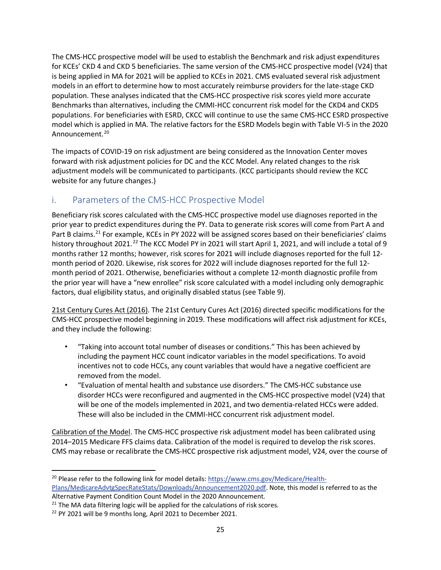The CMS-HCC prospective model will be used to establish the Benchmark and risk adjust expenditures for KCEs' CKD 4 and CKD 5 beneficiaries. The same version of the CMS-HCC prospective model (V24) that is being applied in MA for 2021 will be applied to KCEs in 2021. CMS evaluated several risk adjustment models in an effort to determine how to most accurately reimburse providers for the late-stage CKD population. These analyses indicated that the CMS-HCC prospective risk scores yield more accurate Benchmarks than alternatives, including the CMMI-HCC concurrent risk model for the CKD4 and CKD5 populations. For beneficiaries with ESRD, CKCC will continue to use the same CMS-HCC ESRD prospective model which is applied in MA. The relative factors for the ESRD Models begin with Table VI-5 in the 2020 Announcement.<sup>20</sup>

The impacts of COVID-19 on risk adjustment are being considered as the Innovation Center moves forward with risk adjustment policies for DC and the KCC Model. Any related changes to the risk adjustment models will be communicated to participants. (KCC participants should review the KCC website for any future changes.)

## i. Parameters of the CMS-HCC Prospective Model

Beneficiary risk scores calculated with the CMS-HCC prospective model use diagnoses reported in the prior year to predict expenditures during the PY. Data to generate risk scores will come from Part A and Part B claims.<sup>21</sup> For example, KCEs in PY 2022 will be assigned scores based on their beneficiaries' claims history throughout 2021.<sup>22</sup> The KCC Model PY in 2021 will start April 1, 2021, and will include a total of 9 months rather 12 months; however, risk scores for 2021 will include diagnoses reported for the full 12 month period of 2020. Likewise, risk scores for 2022 will include diagnoses reported for the full 12 month period of 2021. Otherwise, beneficiaries without a complete 12-month diagnostic profile from the prior year will have a "new enrollee" risk score calculated with a model including only demographic factors, dual eligibility status, and originally disabled status (see Table 9).

21st Century Cures Act (2016). The 21st Century Cures Act (2016) directed specific modifications for the CMS-HCC prospective model beginning in 2019. These modifications will affect risk adjustment for KCEs, and they include the following:

- "Taking into account total number of diseases or conditions." This has been achieved by including the payment HCC count indicator variables in the model specifications. To avoid incentives not to code HCCs, any count variables that would have a negative coefficient are removed from the model.
- "Evaluation of mental health and substance use disorders." The CMS-HCC substance use disorder HCCs were reconfigured and augmented in the CMS-HCC prospective model (V24) that will be one of the models implemented in 2021, and two dementia-related HCCs were added. These will also be included in the CMMI-HCC concurrent risk adjustment model.

Calibration of the Model. The CMS-HCC prospective risk adjustment model has been calibrated using 2014–2015 Medicare FFS claims data. Calibration of the model is required to develop the risk scores. CMS may rebase or recalibrate the CMS-HCC prospective risk adjustment model, V24, over the course of

<sup>&</sup>lt;sup>20</sup> Please refer to the following link for model details: [https://www.cms.gov/Medicare/Health-](https://www.cms.gov/Medicare/Health-Plans/MedicareAdvtgSpecRateStats/Downloads/Announcement2020.pdf)[Plans/MedicareAdvtgSpecRateStats/Downloads/Announcement2020.pdf.](https://www.cms.gov/Medicare/Health-Plans/MedicareAdvtgSpecRateStats/Downloads/Announcement2020.pdf) Note, this model is referred to as the Alternative Payment Condition Count Model in the 2020 Announcement.

<sup>&</sup>lt;sup>21</sup> The MA data filtering logic will be applied for the calculations of risk scores.

<sup>&</sup>lt;sup>22</sup> PY 2021 will be 9 months long, April 2021 to December 2021.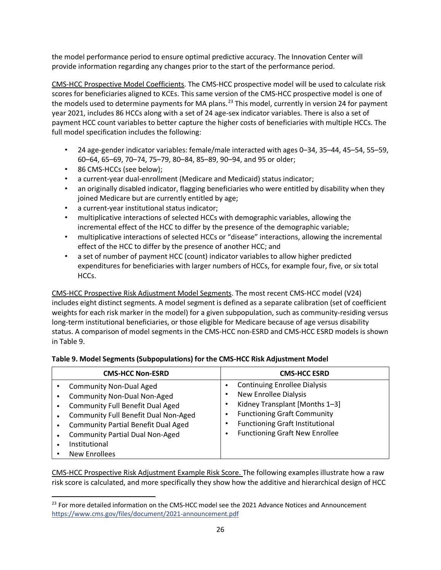the model performance period to ensure optimal predictive accuracy. The Innovation Center will provide information regarding any changes prior to the start of the performance period.

CMS-HCC Prospective Model Coefficients. The CMS-HCC prospective model will be used to calculate risk scores for beneficiaries aligned to KCEs. This same version of the CMS-HCC prospective model is one of the models used to determine payments for MA plans.<sup>23</sup> This model, currently in version 24 for payment year 2021, includes 86 HCCs along with a set of 24 age-sex indicator variables. There is also a set of payment HCC count variables to better capture the higher costs of beneficiaries with multiple HCCs. The full model specification includes the following:

- 24 age-gender indicator variables: female/male interacted with ages 0–34, 35–44, 45–54, 55–59, 60–64, 65–69, 70–74, 75–79, 80–84, 85–89, 90–94, and 95 or older;
- 86 CMS-HCCs (see below);
- a current-year dual-enrollment (Medicare and Medicaid) status indicator;
- an originally disabled indicator, flagging beneficiaries who were entitled by disability when they joined Medicare but are currently entitled by age;
- a current-year institutional status indicator;
- multiplicative interactions of selected HCCs with demographic variables, allowing the incremental effect of the HCC to differ by the presence of the demographic variable;
- multiplicative interactions of selected HCCs or "disease" interactions, allowing the incremental effect of the HCC to differ by the presence of another HCC; and
- a set of number of payment HCC (count) indicator variables to allow higher predicted expenditures for beneficiaries with larger numbers of HCCs, for example four, five, or six total HCCs.

CMS-HCC Prospective Risk Adjustment Model Segments. The most recent CMS-HCC model (V24) includes eight distinct segments. A model segment is defined as a separate calibration (set of coefficient weights for each risk marker in the model) for a given subpopulation, such as community-residing versus long-term institutional beneficiaries, or those eligible for Medicare because of age versus disability status. A comparison of model segments in the CMS-HCC non-ESRD and CMS-HCC ESRD models is shown in Table 9.

#### **Table 9. Model Segments (Subpopulations) for the CMS-HCC Risk Adjustment Model**

| <b>CMS-HCC Non-ESRD</b>                                                                                                                                                                                                                                                           | <b>CMS-HCC ESRD</b>                                                                                                                                                                                                            |
|-----------------------------------------------------------------------------------------------------------------------------------------------------------------------------------------------------------------------------------------------------------------------------------|--------------------------------------------------------------------------------------------------------------------------------------------------------------------------------------------------------------------------------|
| <b>Community Non-Dual Aged</b><br><b>Community Non-Dual Non-Aged</b><br><b>Community Full Benefit Dual Aged</b><br>Community Full Benefit Dual Non-Aged<br><b>Community Partial Benefit Dual Aged</b><br><b>Community Partial Dual Non-Aged</b><br>Institutional<br>New Enrollees | <b>Continuing Enrollee Dialysis</b><br><b>New Enrollee Dialysis</b><br>Kidney Transplant [Months 1-3]<br><b>Functioning Graft Community</b><br><b>Functioning Graft Institutional</b><br><b>Functioning Graft New Enrollee</b> |

CMS-HCC Prospective Risk Adjustment Example Risk Score. The following examples illustrate how a raw risk score is calculated, and more specifically they show how the additive and hierarchical design of HCC

<sup>&</sup>lt;sup>23</sup> For more detailed information on the CMS-HCC model see the 2021 Advance Notices and Announcement <https://www.cms.gov/files/document/2021-announcement.pdf>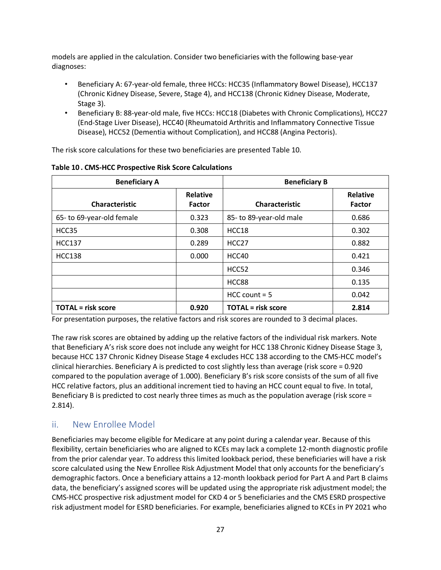models are applied in the calculation. Consider two beneficiaries with the following base-year diagnoses:

- Beneficiary A: 67-year-old female, three HCCs: HCC35 (Inflammatory Bowel Disease), HCC137 (Chronic Kidney Disease, Severe, Stage 4), and HCC138 (Chronic Kidney Disease, Moderate, Stage 3).
- Beneficiary B: 88-year-old male, five HCCs: HCC18 (Diabetes with Chronic Complications), HCC27 (End-Stage Liver Disease), HCC40 (Rheumatoid Arthritis and Inflammatory Connective Tissue Disease), HCC52 (Dementia without Complication), and HCC88 (Angina Pectoris).

The risk score calculations for these two beneficiaries are presented Table 10.

| <b>Beneficiary A</b>      |                                  | <b>Beneficiary B</b>      |                           |
|---------------------------|----------------------------------|---------------------------|---------------------------|
| <b>Characteristic</b>     | <b>Relative</b><br><b>Factor</b> | <b>Characteristic</b>     | <b>Relative</b><br>Factor |
| 65- to 69-year-old female | 0.323                            | 85- to 89-year-old male   | 0.686                     |
| HCC35                     | 0.308                            | HCC18                     | 0.302                     |
| <b>HCC137</b>             | 0.289                            | HCC <sub>27</sub>         | 0.882                     |
| <b>HCC138</b>             | 0.000                            | HCC40                     | 0.421                     |
|                           |                                  | HCC52                     | 0.346                     |
|                           |                                  | HCC88                     | 0.135                     |
|                           |                                  | $HCC$ count = 5           | 0.042                     |
| <b>TOTAL</b> = risk score | 0.920                            | <b>TOTAL</b> = risk score | 2.814                     |

**Table 10 . CMS-HCC Prospective Risk Score Calculations**

For presentation purposes, the relative factors and risk scores are rounded to 3 decimal places.

The raw risk scores are obtained by adding up the relative factors of the individual risk markers. Note that Beneficiary A's risk score does not include any weight for HCC 138 Chronic Kidney Disease Stage 3, because HCC 137 Chronic Kidney Disease Stage 4 excludes HCC 138 according to the CMS-HCC model's clinical hierarchies. Beneficiary A is predicted to cost slightly less than average (risk score = 0.920 compared to the population average of 1.000). Beneficiary B's risk score consists of the sum of all five HCC relative factors, plus an additional increment tied to having an HCC count equal to five. In total, Beneficiary B is predicted to cost nearly three times as much as the population average (risk score = 2.814).

## ii. New Enrollee Model

Beneficiaries may become eligible for Medicare at any point during a calendar year. Because of this flexibility, certain beneficiaries who are aligned to KCEs may lack a complete 12-month diagnostic profile from the prior calendar year. To address this limited lookback period, these beneficiaries will have a risk score calculated using the New Enrollee Risk Adjustment Model that only accounts for the beneficiary's demographic factors. Once a beneficiary attains a 12-month lookback period for Part A and Part B claims data, the beneficiary's assigned scores will be updated using the appropriate risk adjustment model; the CMS-HCC prospective risk adjustment model for CKD 4 or 5 beneficiaries and the CMS ESRD prospective risk adjustment model for ESRD beneficiaries. For example, beneficiaries aligned to KCEs in PY 2021 who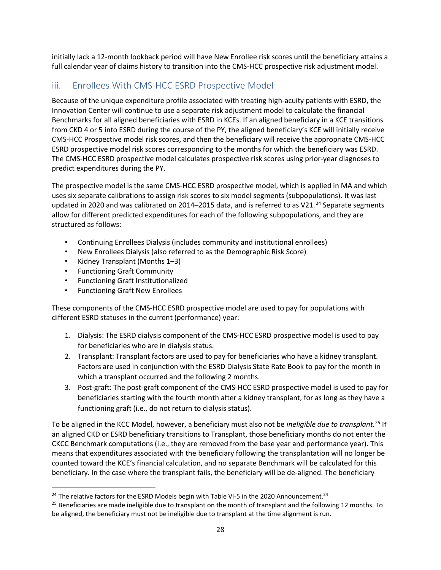initially lack a 12-month lookback period will have New Enrollee risk scores until the beneficiary attains a full calendar year of claims history to transition into the CMS-HCC prospective risk adjustment model.

## iii. Enrollees With CMS-HCC ESRD Prospective Model

Because of the unique expenditure profile associated with treating high-acuity patients with ESRD, the Innovation Center will continue to use a separate risk adjustment model to calculate the financial Benchmarks for all aligned beneficiaries with ESRD in KCEs. If an aligned beneficiary in a KCE transitions from CKD 4 or 5 into ESRD during the course of the PY, the aligned beneficiary's KCE will initially receive CMS-HCC Prospective model risk scores, and then the beneficiary will receive the appropriate CMS-HCC ESRD prospective model risk scores corresponding to the months for which the beneficiary was ESRD. The CMS-HCC ESRD prospective model calculates prospective risk scores using prior-year diagnoses to predict expenditures during the PY.

The prospective model is the same CMS-HCC ESRD prospective model, which is applied in MA and which uses six separate calibrations to assign risk scores to six model segments (subpopulations). It was last updated in 2020 and was calibrated on 2014–2015 data, and is referred to as V21.<sup>24</sup> Separate segments allow for different predicted expenditures for each of the following subpopulations, and they are structured as follows:

- Continuing Enrollees Dialysis (includes community and institutional enrollees)
- New Enrollees Dialysis (also referred to as the Demographic Risk Score)
- Kidney Transplant (Months 1–3)
- Functioning Graft Community
- Functioning Graft Institutionalized
- Functioning Graft New Enrollees

These components of the CMS-HCC ESRD prospective model are used to pay for populations with different ESRD statuses in the current (performance) year:

- 1. Dialysis: The ESRD dialysis component of the CMS-HCC ESRD prospective model is used to pay for beneficiaries who are in dialysis status.
- 2. Transplant: Transplant factors are used to pay for beneficiaries who have a kidney transplant. Factors are used in conjunction with the ESRD Dialysis State Rate Book to pay for the month in which a transplant occurred and the following 2 months.
- 3. Post-graft: The post-graft component of the CMS-HCC ESRD prospective model is used to pay for beneficiaries starting with the fourth month after a kidney transplant, for as long as they have a functioning graft (i.e., do not return to dialysis status).

To be aligned in the KCC Model, however, a beneficiary must also not be *ineligible due to transplant.* <sup>25</sup> If an aligned CKD or ESRD beneficiary transitions to Transplant, those beneficiary months do not enter the CKCC Benchmark computations (i.e., they are removed from the base year and performance year). This means that expenditures associated with the beneficiary following the transplantation will no longer be counted toward the KCE's financial calculation, and no separate Benchmark will be calculated for this beneficiary. In the case where the transplant fails, the beneficiary will be de-aligned. The beneficiary

 $24$  The relative factors for the ESRD Models begin with Table VI-5 in the 2020 Announcement.<sup>24</sup>

 $25$  Beneficiaries are made ineligible due to transplant on the month of transplant and the following 12 months. To be aligned, the beneficiary must not be ineligible due to transplant at the time alignment is run.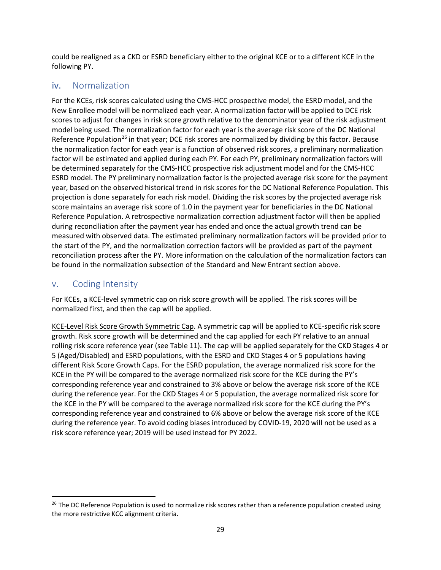could be realigned as a CKD or ESRD beneficiary either to the original KCE or to a different KCE in the following PY.

## iv. Normalization

For the KCEs, risk scores calculated using the CMS-HCC prospective model, the ESRD model, and the New Enrollee model will be normalized each year. A normalization factor will be applied to DCE risk scores to adjust for changes in risk score growth relative to the denominator year of the risk adjustment model being used. The normalization factor for each year is the average risk score of the DC National Reference Population<sup>26</sup> in that year; DCE risk scores are normalized by dividing by this factor. Because the normalization factor for each year is a function of observed risk scores, a preliminary normalization factor will be estimated and applied during each PY. For each PY, preliminary normalization factors will be determined separately for the CMS-HCC prospective risk adjustment model and for the CMS-HCC ESRD model. The PY preliminary normalization factor is the projected average risk score for the payment year, based on the observed historical trend in risk scores for the DC National Reference Population. This projection is done separately for each risk model. Dividing the risk scores by the projected average risk score maintains an average risk score of 1.0 in the payment year for beneficiaries in the DC National Reference Population. A retrospective normalization correction adjustment factor will then be applied during reconciliation after the payment year has ended and once the actual growth trend can be measured with observed data. The estimated preliminary normalization factors will be provided prior to the start of the PY, and the normalization correction factors will be provided as part of the payment reconciliation process after the PY. More information on the calculation of the normalization factors can be found in the normalization subsection of the Standard and New Entrant section above.

## v. Coding Intensity

For KCEs, a KCE-level symmetric cap on risk score growth will be applied. The risk scores will be normalized first, and then the cap will be applied.

KCE-Level Risk Score Growth Symmetric Cap. A symmetric cap will be applied to KCE-specific risk score growth. Risk score growth will be determined and the cap applied for each PY relative to an annual rolling risk score reference year (see Table 11). The cap will be applied separately for the CKD Stages 4 or 5 (Aged/Disabled) and ESRD populations, with the ESRD and CKD Stages 4 or 5 populations having different Risk Score Growth Caps. For the ESRD population, the average normalized risk score for the KCE in the PY will be compared to the average normalized risk score for the KCE during the PY's corresponding reference year and constrained to 3% above or below the average risk score of the KCE during the reference year. For the CKD Stages 4 or 5 population, the average normalized risk score for the KCE in the PY will be compared to the average normalized risk score for the KCE during the PY's corresponding reference year and constrained to 6% above or below the average risk score of the KCE during the reference year. To avoid coding biases introduced by COVID-19, 2020 will not be used as a risk score reference year; 2019 will be used instead for PY 2022.

 $26$  The DC Reference Population is used to normalize risk scores rather than a reference population created using the more restrictive KCC alignment criteria.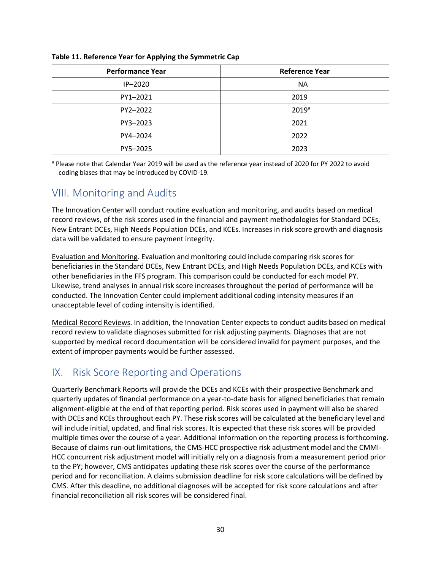| <b>Performance Year</b> | <b>Reference Year</b> |
|-------------------------|-----------------------|
| $IP-2020$               | <b>NA</b>             |
| PY1-2021                | 2019                  |
| PY2-2022                | 2019 <sup>a</sup>     |
| PY3-2023                | 2021                  |
| PY4-2024                | 2022                  |
| PY5-2025                | 2023                  |

#### **Table 11. Reference Year for Applying the Symmetric Cap**

<sup>a</sup> Please note that Calendar Year 2019 will be used as the reference year instead of 2020 for PY 2022 to avoid coding biases that may be introduced by COVID-19.

## VIII. Monitoring and Audits

The Innovation Center will conduct routine evaluation and monitoring, and audits based on medical record reviews, of the risk scores used in the financial and payment methodologies for Standard DCEs, New Entrant DCEs, High Needs Population DCEs, and KCEs. Increases in risk score growth and diagnosis data will be validated to ensure payment integrity.

Evaluation and Monitoring. Evaluation and monitoring could include comparing risk scores for beneficiaries in the Standard DCEs, New Entrant DCEs, and High Needs Population DCEs, and KCEs with other beneficiaries in the FFS program. This comparison could be conducted for each model PY. Likewise, trend analyses in annual risk score increases throughout the period of performance will be conducted. The Innovation Center could implement additional coding intensity measures if an unacceptable level of coding intensity is identified.

Medical Record Reviews. In addition, the Innovation Center expects to conduct audits based on medical record review to validate diagnoses submitted for risk adjusting payments. Diagnoses that are not supported by medical record documentation will be considered invalid for payment purposes, and the extent of improper payments would be further assessed.

## IX. Risk Score Reporting and Operations

Quarterly Benchmark Reports will provide the DCEs and KCEs with their prospective Benchmark and quarterly updates of financial performance on a year-to-date basis for aligned beneficiaries that remain alignment-eligible at the end of that reporting period. Risk scores used in payment will also be shared with DCEs and KCEs throughout each PY. These risk scores will be calculated at the beneficiary level and will include initial, updated, and final risk scores. It is expected that these risk scores will be provided multiple times over the course of a year. Additional information on the reporting process is forthcoming. Because of claims run-out limitations, the CMS-HCC prospective risk adjustment model and the CMMI-HCC concurrent risk adjustment model will initially rely on a diagnosis from a measurement period prior to the PY; however, CMS anticipates updating these risk scores over the course of the performance period and for reconciliation. A claims submission deadline for risk score calculations will be defined by CMS. After this deadline, no additional diagnoses will be accepted for risk score calculations and after financial reconciliation all risk scores will be considered final.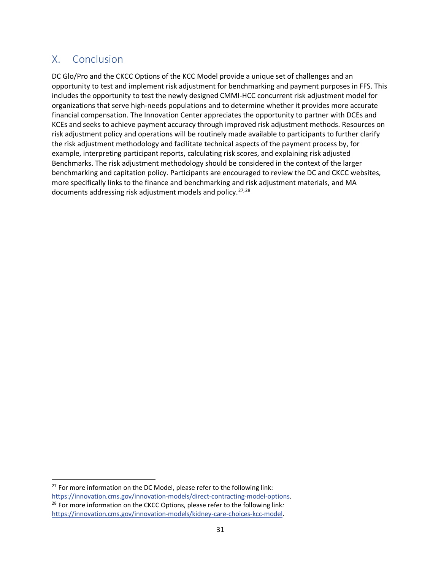## X. Conclusion

DC Glo/Pro and the CKCC Options of the KCC Model provide a unique set of challenges and an opportunity to test and implement risk adjustment for benchmarking and payment purposes in FFS. This includes the opportunity to test the newly designed CMMI-HCC concurrent risk adjustment model for organizations that serve high-needs populations and to determine whether it provides more accurate financial compensation. The Innovation Center appreciates the opportunity to partner with DCEs and KCEs and seeks to achieve payment accuracy through improved risk adjustment methods. Resources on risk adjustment policy and operations will be routinely made available to participants to further clarify the risk adjustment methodology and facilitate technical aspects of the payment process by, for example, interpreting participant reports, calculating risk scores, and explaining risk adjusted Benchmarks. The risk adjustment methodology should be considered in the context of the larger benchmarking and capitation policy. Participants are encouraged to review the DC and CKCC websites, more specifically links to the finance and benchmarking and risk adjustment materials, and MA documents addressing risk adjustment models and policy.<sup>27,28</sup>

 $27$  For more information on the DC Model, please refer to the following link: <https://innovation.cms.gov/innovation-models/direct-contracting-model-options>. 28 For more information on the CKCC Options, please refer to the following link*:* [https://innovation.cms.gov/innovation-models/kidney-care-choices-kcc-model.](https://innovation.cms.gov/innovation-models/kidney-care-choices-kcc-model)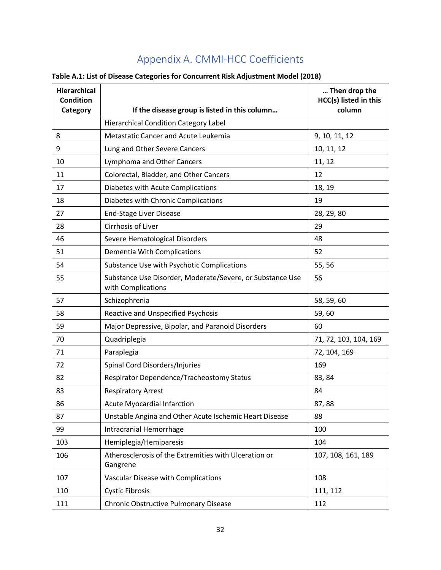# Appendix A. CMMI-HCC Coefficients

|  | Table A.1: List of Disease Categories for Concurrent Risk Adjustment Model (2018) |
|--|-----------------------------------------------------------------------------------|
|--|-----------------------------------------------------------------------------------|

| Hierarchical<br><b>Condition</b> |                                                                                 | Then drop the<br>HCC(s) listed in this |
|----------------------------------|---------------------------------------------------------------------------------|----------------------------------------|
| Category                         | If the disease group is listed in this column                                   | column                                 |
|                                  | <b>Hierarchical Condition Category Label</b>                                    |                                        |
| 8                                | Metastatic Cancer and Acute Leukemia                                            | 9, 10, 11, 12                          |
| 9                                | Lung and Other Severe Cancers                                                   | 10, 11, 12                             |
| 10                               | Lymphoma and Other Cancers                                                      | 11, 12                                 |
| 11                               | Colorectal, Bladder, and Other Cancers                                          | 12                                     |
| 17                               | Diabetes with Acute Complications                                               | 18, 19                                 |
| 18                               | Diabetes with Chronic Complications                                             | 19                                     |
| 27                               | <b>End-Stage Liver Disease</b>                                                  | 28, 29, 80                             |
| 28                               | Cirrhosis of Liver                                                              | 29                                     |
| 46                               | Severe Hematological Disorders                                                  | 48                                     |
| 51                               | Dementia With Complications                                                     | 52                                     |
| 54                               | Substance Use with Psychotic Complications                                      | 55, 56                                 |
| 55                               | Substance Use Disorder, Moderate/Severe, or Substance Use<br>with Complications | 56                                     |
| 57                               | Schizophrenia                                                                   | 58, 59, 60                             |
| 58                               | Reactive and Unspecified Psychosis                                              | 59,60                                  |
| 59                               | Major Depressive, Bipolar, and Paranoid Disorders                               | 60                                     |
| 70                               | Quadriplegia                                                                    | 71, 72, 103, 104, 169                  |
| 71                               | Paraplegia                                                                      | 72, 104, 169                           |
| 72                               | Spinal Cord Disorders/Injuries                                                  | 169                                    |
| 82                               | Respirator Dependence/Tracheostomy Status                                       | 83, 84                                 |
| 83                               | <b>Respiratory Arrest</b>                                                       | 84                                     |
| 86                               | <b>Acute Myocardial Infarction</b>                                              | 87,88                                  |
| 87                               | Unstable Angina and Other Acute Ischemic Heart Disease                          | 88                                     |
| 99                               | Intracranial Hemorrhage                                                         | 100                                    |
| 103                              | Hemiplegia/Hemiparesis                                                          | 104                                    |
| 106                              | Atherosclerosis of the Extremities with Ulceration or<br>Gangrene               | 107, 108, 161, 189                     |
| 107                              | Vascular Disease with Complications                                             | 108                                    |
| 110                              | <b>Cystic Fibrosis</b>                                                          | 111, 112                               |
| 111                              | Chronic Obstructive Pulmonary Disease                                           | 112                                    |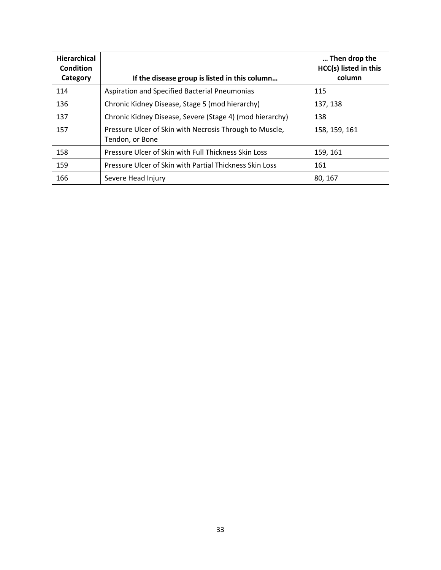| <b>Hierarchical</b><br><b>Condition</b><br>Category | If the disease group is listed in this column                              | Then drop the<br>HCC(s) listed in this<br>column |
|-----------------------------------------------------|----------------------------------------------------------------------------|--------------------------------------------------|
| 114                                                 | Aspiration and Specified Bacterial Pneumonias                              | 115                                              |
| 136                                                 | Chronic Kidney Disease, Stage 5 (mod hierarchy)                            | 137, 138                                         |
| 137                                                 | Chronic Kidney Disease, Severe (Stage 4) (mod hierarchy)                   | 138                                              |
| 157                                                 | Pressure Ulcer of Skin with Necrosis Through to Muscle,<br>Tendon, or Bone | 158, 159, 161                                    |
| 158                                                 | Pressure Ulcer of Skin with Full Thickness Skin Loss                       | 159, 161                                         |
| 159                                                 | Pressure Ulcer of Skin with Partial Thickness Skin Loss                    | 161                                              |
| 166                                                 | Severe Head Injury                                                         | 80, 167                                          |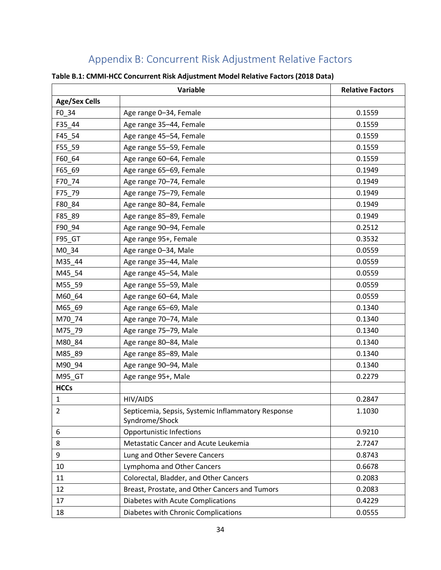# Appendix B: Concurrent Risk Adjustment Relative Factors

|                      | Variable                                                             | <b>Relative Factors</b> |
|----------------------|----------------------------------------------------------------------|-------------------------|
| <b>Age/Sex Cells</b> |                                                                      |                         |
| $F0$ _34             | Age range 0-34, Female                                               | 0.1559                  |
| F35 44               | Age range 35-44, Female                                              | 0.1559                  |
| F45_54               | Age range 45-54, Female                                              | 0.1559                  |
| F55_59               | Age range 55-59, Female                                              | 0.1559                  |
| F60 64               | Age range 60-64, Female                                              | 0.1559                  |
| F65_69               | Age range 65-69, Female                                              | 0.1949                  |
| F70_74               | Age range 70-74, Female                                              | 0.1949                  |
| F75 79               | Age range 75-79, Female                                              | 0.1949                  |
| F80_84               | Age range 80-84, Female                                              | 0.1949                  |
| F85_89               | Age range 85-89, Female                                              | 0.1949                  |
| F90_94               | Age range 90-94, Female                                              | 0.2512                  |
| F95_GT               | Age range 95+, Female                                                | 0.3532                  |
| M0 34                | Age range 0-34, Male                                                 | 0.0559                  |
| M35_44               | Age range 35-44, Male                                                | 0.0559                  |
| M45_54               | Age range 45-54, Male                                                | 0.0559                  |
| M55_59               | Age range 55-59, Male                                                | 0.0559                  |
| M60_64               | Age range 60-64, Male                                                | 0.0559                  |
| M65_69               | Age range 65-69, Male                                                | 0.1340                  |
| M70_74               | Age range 70-74, Male                                                | 0.1340                  |
| M75_79               | Age range 75-79, Male                                                | 0.1340                  |
| M80_84               | Age range 80-84, Male                                                | 0.1340                  |
| M85_89               | Age range 85-89, Male                                                | 0.1340                  |
| M90 94               | Age range 90-94, Male                                                | 0.1340                  |
| M95_GT               | Age range 95+, Male                                                  | 0.2279                  |
| <b>HCCs</b>          |                                                                      |                         |
| $\mathbf{1}$         | HIV/AIDS                                                             | 0.2847                  |
| 2                    | Septicemia, Sepsis, Systemic Inflammatory Response<br>Syndrome/Shock | 1.1030                  |
| 6                    | <b>Opportunistic Infections</b>                                      | 0.9210                  |
| 8                    | Metastatic Cancer and Acute Leukemia                                 | 2.7247                  |
| 9                    | Lung and Other Severe Cancers                                        | 0.8743                  |
| 10                   | Lymphoma and Other Cancers                                           | 0.6678                  |
| 11                   | Colorectal, Bladder, and Other Cancers                               | 0.2083                  |
| 12                   | Breast, Prostate, and Other Cancers and Tumors                       | 0.2083                  |
| 17                   | Diabetes with Acute Complications                                    | 0.4229                  |
| 18                   | Diabetes with Chronic Complications                                  | 0.0555                  |

#### **Table B.1: CMMI-HCC Concurrent Risk Adjustment Model Relative Factors (2018 Data)**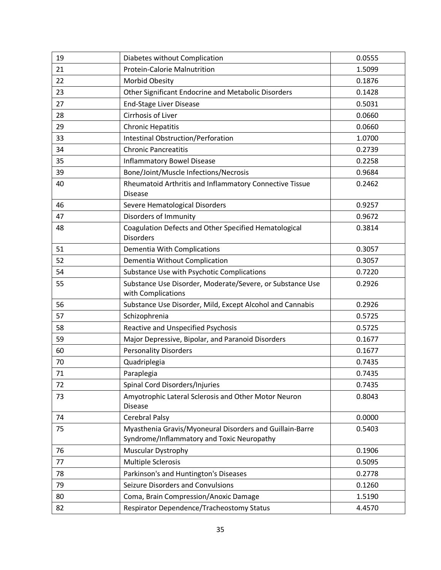| 19 | Diabetes without Complication                                                                          | 0.0555 |
|----|--------------------------------------------------------------------------------------------------------|--------|
| 21 | Protein-Calorie Malnutrition                                                                           | 1.5099 |
| 22 | Morbid Obesity                                                                                         | 0.1876 |
| 23 | Other Significant Endocrine and Metabolic Disorders                                                    | 0.1428 |
| 27 | <b>End-Stage Liver Disease</b>                                                                         | 0.5031 |
| 28 | Cirrhosis of Liver                                                                                     | 0.0660 |
| 29 | <b>Chronic Hepatitis</b>                                                                               | 0.0660 |
| 33 | <b>Intestinal Obstruction/Perforation</b>                                                              | 1.0700 |
| 34 | <b>Chronic Pancreatitis</b>                                                                            | 0.2739 |
| 35 | <b>Inflammatory Bowel Disease</b>                                                                      | 0.2258 |
| 39 | Bone/Joint/Muscle Infections/Necrosis                                                                  | 0.9684 |
| 40 | Rheumatoid Arthritis and Inflammatory Connective Tissue<br><b>Disease</b>                              | 0.2462 |
| 46 | Severe Hematological Disorders                                                                         | 0.9257 |
| 47 | Disorders of Immunity                                                                                  | 0.9672 |
| 48 | Coagulation Defects and Other Specified Hematological<br><b>Disorders</b>                              | 0.3814 |
| 51 | Dementia With Complications                                                                            | 0.3057 |
| 52 | Dementia Without Complication                                                                          | 0.3057 |
| 54 | Substance Use with Psychotic Complications                                                             | 0.7220 |
| 55 | Substance Use Disorder, Moderate/Severe, or Substance Use<br>with Complications                        | 0.2926 |
| 56 | Substance Use Disorder, Mild, Except Alcohol and Cannabis                                              | 0.2926 |
| 57 | Schizophrenia                                                                                          | 0.5725 |
| 58 | <b>Reactive and Unspecified Psychosis</b>                                                              | 0.5725 |
| 59 | Major Depressive, Bipolar, and Paranoid Disorders                                                      | 0.1677 |
| 60 | <b>Personality Disorders</b>                                                                           | 0.1677 |
| 70 | Quadriplegia                                                                                           | 0.7435 |
| 71 | Paraplegia                                                                                             | 0.7435 |
| 72 | Spinal Cord Disorders/Injuries                                                                         | 0.7435 |
| 73 | Amyotrophic Lateral Sclerosis and Other Motor Neuron<br><b>Disease</b>                                 | 0.8043 |
| 74 | Cerebral Palsy                                                                                         | 0.0000 |
| 75 | Myasthenia Gravis/Myoneural Disorders and Guillain-Barre<br>Syndrome/Inflammatory and Toxic Neuropathy | 0.5403 |
| 76 | <b>Muscular Dystrophy</b>                                                                              | 0.1906 |
| 77 | <b>Multiple Sclerosis</b>                                                                              | 0.5095 |
| 78 | Parkinson's and Huntington's Diseases                                                                  | 0.2778 |
| 79 | Seizure Disorders and Convulsions                                                                      | 0.1260 |
| 80 | Coma, Brain Compression/Anoxic Damage                                                                  | 1.5190 |
| 82 | Respirator Dependence/Tracheostomy Status                                                              | 4.4570 |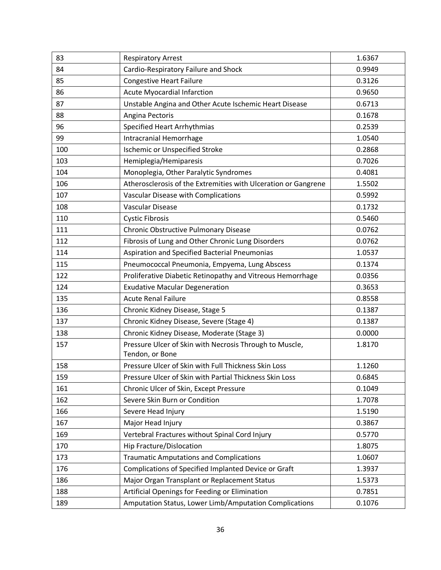| 83  | <b>Respiratory Arrest</b>                                                  | 1.6367 |
|-----|----------------------------------------------------------------------------|--------|
| 84  | Cardio-Respiratory Failure and Shock                                       | 0.9949 |
| 85  | <b>Congestive Heart Failure</b>                                            | 0.3126 |
| 86  | <b>Acute Myocardial Infarction</b>                                         | 0.9650 |
| 87  | Unstable Angina and Other Acute Ischemic Heart Disease                     | 0.6713 |
| 88  | Angina Pectoris                                                            | 0.1678 |
| 96  | <b>Specified Heart Arrhythmias</b>                                         | 0.2539 |
| 99  | Intracranial Hemorrhage                                                    | 1.0540 |
| 100 | <b>Ischemic or Unspecified Stroke</b>                                      | 0.2868 |
| 103 | Hemiplegia/Hemiparesis                                                     | 0.7026 |
| 104 | Monoplegia, Other Paralytic Syndromes                                      | 0.4081 |
| 106 | Atherosclerosis of the Extremities with Ulceration or Gangrene             | 1.5502 |
| 107 | Vascular Disease with Complications                                        | 0.5992 |
| 108 | <b>Vascular Disease</b>                                                    | 0.1732 |
| 110 | <b>Cystic Fibrosis</b>                                                     | 0.5460 |
| 111 | Chronic Obstructive Pulmonary Disease                                      | 0.0762 |
| 112 | Fibrosis of Lung and Other Chronic Lung Disorders                          | 0.0762 |
| 114 | Aspiration and Specified Bacterial Pneumonias                              | 1.0537 |
| 115 | Pneumococcal Pneumonia, Empyema, Lung Abscess                              | 0.1374 |
| 122 | Proliferative Diabetic Retinopathy and Vitreous Hemorrhage                 | 0.0356 |
| 124 | <b>Exudative Macular Degeneration</b>                                      | 0.3653 |
| 135 | <b>Acute Renal Failure</b>                                                 | 0.8558 |
| 136 | Chronic Kidney Disease, Stage 5                                            | 0.1387 |
| 137 | Chronic Kidney Disease, Severe (Stage 4)                                   | 0.1387 |
| 138 | Chronic Kidney Disease, Moderate (Stage 3)                                 | 0.0000 |
| 157 | Pressure Ulcer of Skin with Necrosis Through to Muscle,<br>Tendon, or Bone | 1.8170 |
| 158 | Pressure Ulcer of Skin with Full Thickness Skin Loss                       | 1.1260 |
| 159 | Pressure Ulcer of Skin with Partial Thickness Skin Loss                    | 0.6845 |
| 161 | Chronic Ulcer of Skin, Except Pressure                                     | 0.1049 |
| 162 | Severe Skin Burn or Condition                                              | 1.7078 |
| 166 | Severe Head Injury                                                         | 1.5190 |
| 167 | Major Head Injury                                                          | 0.3867 |
| 169 | Vertebral Fractures without Spinal Cord Injury                             | 0.5770 |
| 170 | Hip Fracture/Dislocation                                                   | 1.8075 |
| 173 | <b>Traumatic Amputations and Complications</b>                             | 1.0607 |
| 176 | Complications of Specified Implanted Device or Graft                       | 1.3937 |
| 186 | Major Organ Transplant or Replacement Status                               | 1.5373 |
| 188 | Artificial Openings for Feeding or Elimination                             | 0.7851 |
| 189 | Amputation Status, Lower Limb/Amputation Complications                     | 0.1076 |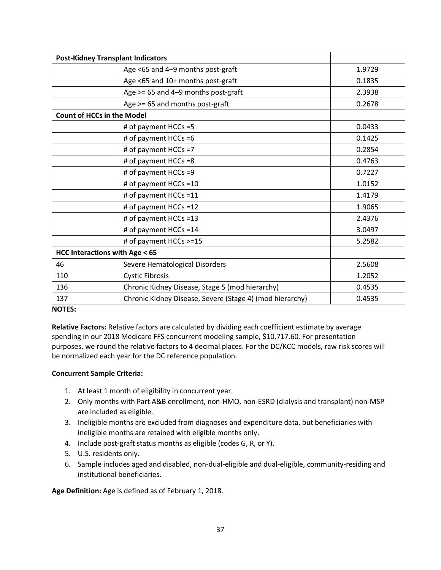| <b>Post-Kidney Transplant Indicators</b> |                                                          |        |
|------------------------------------------|----------------------------------------------------------|--------|
|                                          | Age <65 and 4-9 months post-graft                        | 1.9729 |
|                                          | Age <65 and 10+ months post-graft                        | 0.1835 |
|                                          | Age $>= 65$ and 4-9 months post-graft                    | 2.3938 |
|                                          | Age >= 65 and months post-graft                          | 0.2678 |
| <b>Count of HCCs in the Model</b>        |                                                          |        |
|                                          | # of payment HCCs =5                                     | 0.0433 |
|                                          | # of payment HCCs =6                                     | 0.1425 |
|                                          | # of payment HCCs =7                                     | 0.2854 |
|                                          | # of payment HCCs =8                                     | 0.4763 |
|                                          | # of payment HCCs =9                                     | 0.7227 |
|                                          | # of payment HCCs =10                                    | 1.0152 |
|                                          | # of payment HCCs =11                                    | 1.4179 |
|                                          | # of payment HCCs =12                                    | 1.9065 |
|                                          | # of payment HCCs =13                                    | 2.4376 |
|                                          | # of payment HCCs =14                                    | 3.0497 |
|                                          | # of payment HCCs >=15                                   | 5.2582 |
| <b>HCC Interactions with Age &lt; 65</b> |                                                          |        |
| 46                                       | Severe Hematological Disorders                           | 2.5608 |
| 110                                      | <b>Cystic Fibrosis</b>                                   | 1.2052 |
| 136                                      | Chronic Kidney Disease, Stage 5 (mod hierarchy)          | 0.4535 |
| 137                                      | Chronic Kidney Disease, Severe (Stage 4) (mod hierarchy) | 0.4535 |

#### **NOTES:**

**Relative Factors:** Relative factors are calculated by dividing each coefficient estimate by average spending in our 2018 Medicare FFS concurrent modeling sample, \$10,717.60. For presentation purposes, we round the relative factors to 4 decimal places. For the DC/KCC models, raw risk scores will be normalized each year for the DC reference population.

#### **Concurrent Sample Criteria:**

- 1. At least 1 month of eligibility in concurrent year.
- 2. Only months with Part A&B enrollment, non-HMO, non-ESRD (dialysis and transplant) non-MSP are included as eligible.
- 3. Ineligible months are excluded from diagnoses and expenditure data, but beneficiaries with ineligible months are retained with eligible months only.
- 4. Include post-graft status months as eligible (codes G, R, or Y).
- 5. U.S. residents only.
- 6. Sample includes aged and disabled, non-dual-eligible and dual-eligible, community-residing and institutional beneficiaries.

**Age Definition:** Age is defined as of February 1, 2018.